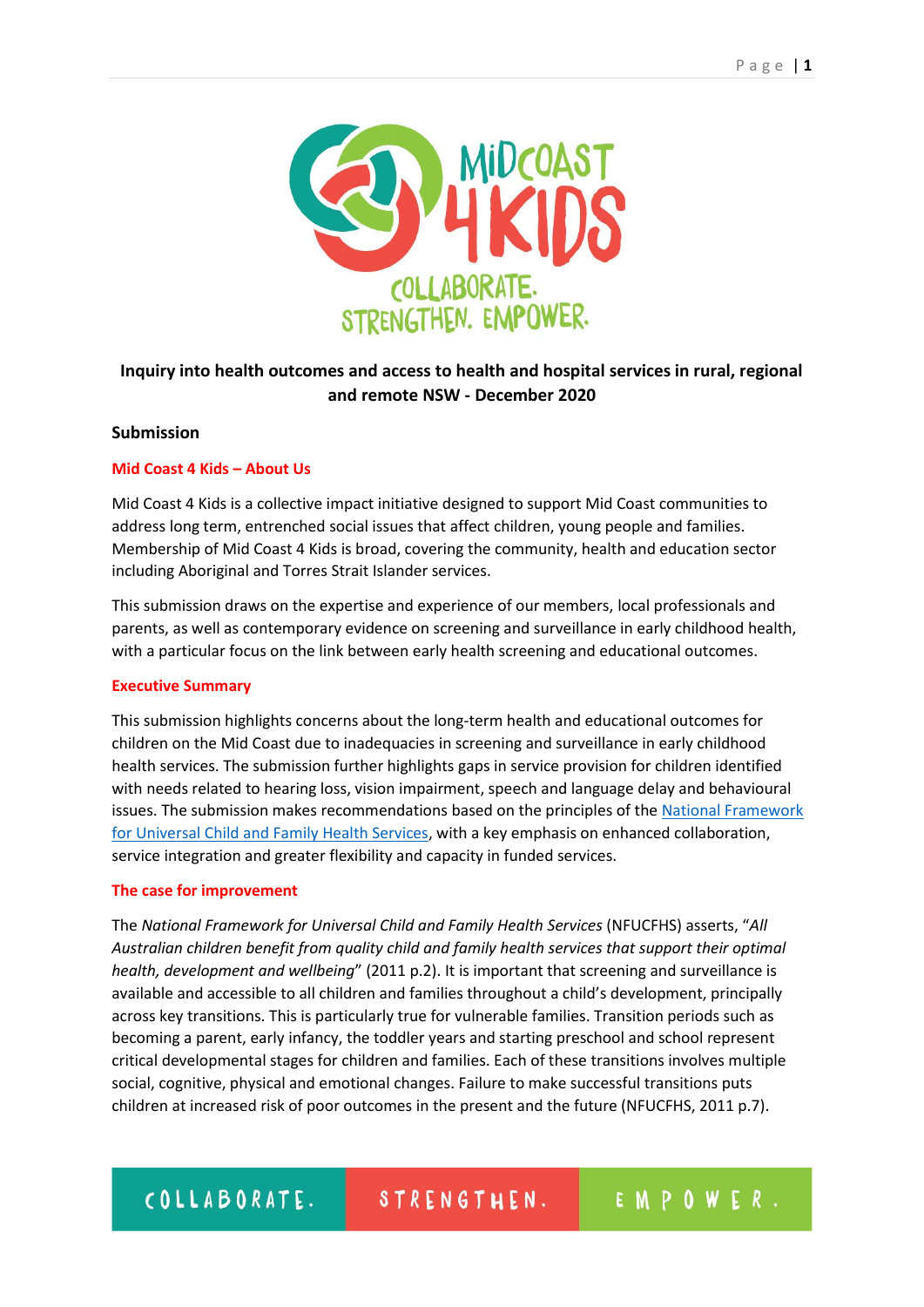

# **Inquiry into health outcomes and access to health and hospital services in rural, regional and remote NSW - December 2020**

## **Submission**

# **Mid Coast 4 Kids – About Us**

Mid Coast 4 Kids is a collective impact initiative designed to support Mid Coast communities to address long term, entrenched social issues that affect children, young people and families. Membership of Mid Coast 4 Kids is broad, covering the community, health and education sector including Aboriginal and Torres Strait Islander services.

This submission draws on the expertise and experience of our members, local professionals and parents, as well as contemporary evidence on screening and surveillance in early childhood health, with a particular focus on the link between early health screening and educational outcomes.

## **Executive Summary**

This submission highlights concerns about the long-term health and educational outcomes for children on the Mid Coast due to inadequacies in screening and surveillance in early childhood health services. The submission further highlights gaps in service provision for children identified with needs related to hearing loss, vision impairment, speech and language delay and behavioural issues. The submission makes recommendations based on the principles of the National Framework [for Universal Child and Family Health Services,](https://www1.health.gov.au/internet/publications/publishing.nsf/Content/nat-fram-ucfhs-html#:~:text=The%20National%20Framework%20for%20Universal%20Child%20and%20Family,aged%20zero%20to%20eight%20years%20and%20their%20families) with a key emphasis on enhanced collaboration, service integration and greater flexibility and capacity in funded services.

## **The case for improvement**

The *National Framework for Universal Child and Family Health Services* (NFUCFHS) asserts, "*All Australian children benefit from quality child and family health services that support their optimal health, development and wellbeing*" (2011 p.2). It is important that screening and surveillance is available and accessible to all children and families throughout a child's development, principally across key transitions. This is particularly true for vulnerable families. Transition periods such as becoming a parent, early infancy, the toddler years and starting preschool and school represent critical developmental stages for children and families. Each of these transitions involves multiple social, cognitive, physical and emotional changes. Failure to make successful transitions puts children at increased risk of poor outcomes in the present and the future (NFUCFHS, 2011 p.7).

#### COLLABORATE. STRENGTHEN.

EMPOWER.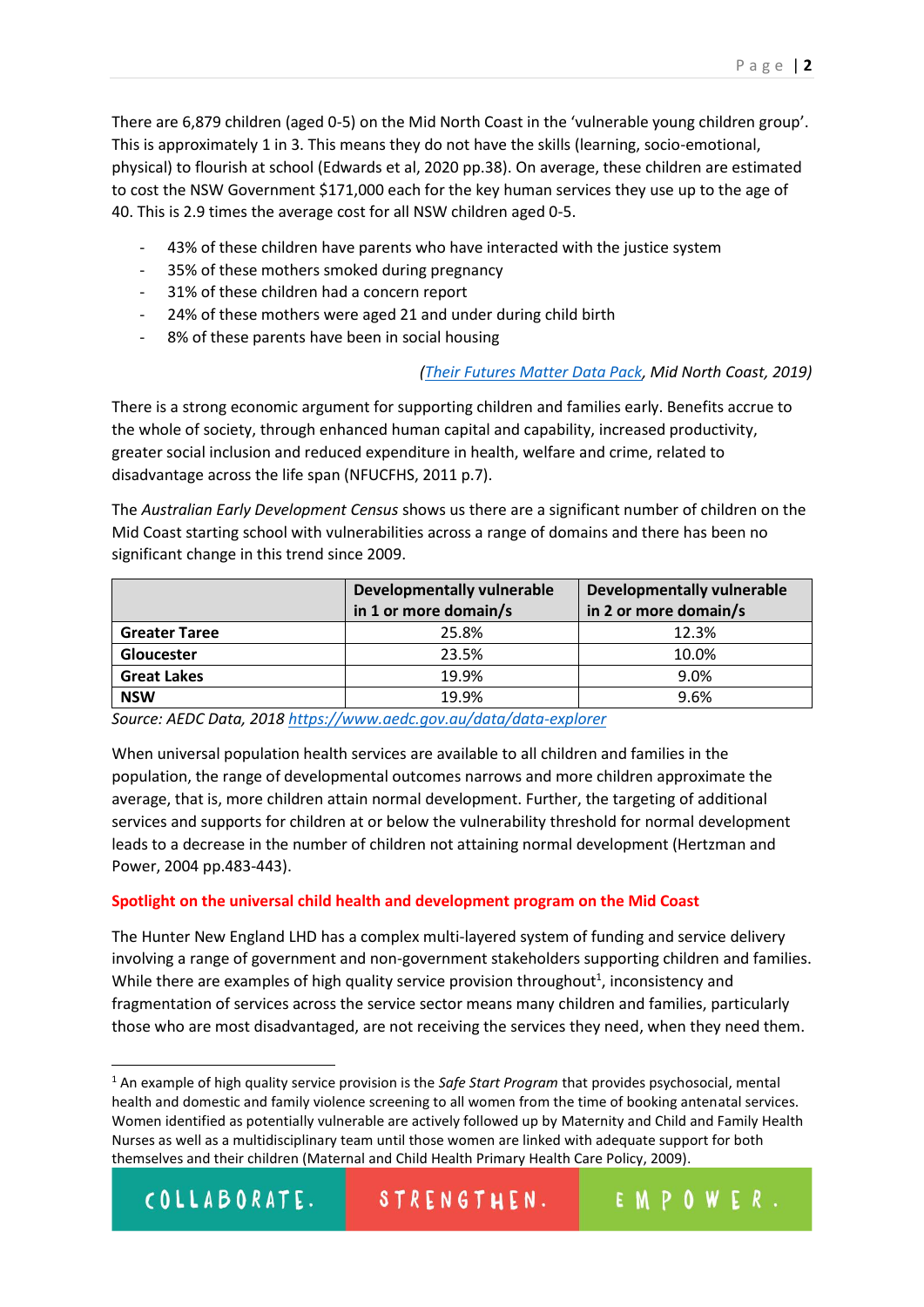There are 6,879 children (aged 0-5) on the Mid North Coast in the 'vulnerable young children group'. This is approximately 1 in 3. This means they do not have the skills (learning, socio-emotional, physical) to flourish at school (Edwards et al, 2020 pp.38). On average, these children are estimated to cost the NSW Government \$171,000 each for the key human services they use up to the age of 40. This is 2.9 times the average cost for all NSW children aged 0-5.

- 43% of these children have parents who have interacted with the justice system
- 35% of these mothers smoked during pregnancy
- 31% of these children had a concern report
- 24% of these mothers were aged 21 and under during child birth
- 8% of these parents have been in social housing

## *[\(Their Futures Matter Data Pack,](https://www.theirfuturesmatter.nsw.gov.au/__data/assets/pdf_file/0003/723972/Mid-North-Coast_.pdf) Mid North Coast, 2019)*

There is a strong economic argument for supporting children and families early. Benefits accrue to the whole of society, through enhanced human capital and capability, increased productivity, greater social inclusion and reduced expenditure in health, welfare and crime, related to disadvantage across the life span (NFUCFHS, 2011 p.7).

The *Australian Early Development Census* shows us there are a significant number of children on the Mid Coast starting school with vulnerabilities across a range of domains and there has been no significant change in this trend since 2009.

|                      | <b>Developmentally vulnerable</b><br>in 1 or more domain/s | <b>Developmentally vulnerable</b><br>in 2 or more domain/s |
|----------------------|------------------------------------------------------------|------------------------------------------------------------|
| <b>Greater Taree</b> | 25.8%                                                      | 12.3%                                                      |
| <b>Gloucester</b>    | 23.5%                                                      | 10.0%                                                      |
| <b>Great Lakes</b>   | 19.9%                                                      | 9.0%                                                       |
| <b>NSW</b>           | 19.9%                                                      | 9.6%                                                       |

*Source: AEDC Data, 2018<https://www.aedc.gov.au/data/data-explorer>*

When universal population health services are available to all children and families in the population, the range of developmental outcomes narrows and more children approximate the average, that is, more children attain normal development. Further, the targeting of additional services and supports for children at or below the vulnerability threshold for normal development leads to a decrease in the number of children not attaining normal development (Hertzman and Power, 2004 pp.483-443).

## **Spotlight on the universal child health and development program on the Mid Coast**

The Hunter New England LHD has a complex multi-layered system of funding and service delivery involving a range of government and non-government stakeholders supporting children and families. While there are examples of high quality service provision throughout<sup>1</sup>, inconsistency and fragmentation of services across the service sector means many children and families, particularly those who are most disadvantaged, are not receiving the services they need, when they need them.

<sup>1</sup> An example of high quality service provision is the *Safe Start Program* that provides psychosocial, mental health and domestic and family violence screening to all women from the time of booking antenatal services. Women identified as potentially vulnerable are actively followed up by Maternity and Child and Family Health Nurses as well as a multidisciplinary team until those women are linked with adequate support for both themselves and their children (Maternal and Child Health Primary Health Care Policy, 2009).

| COLLABORATE. | STREN |
|--------------|-------|
|--------------|-------|

**.**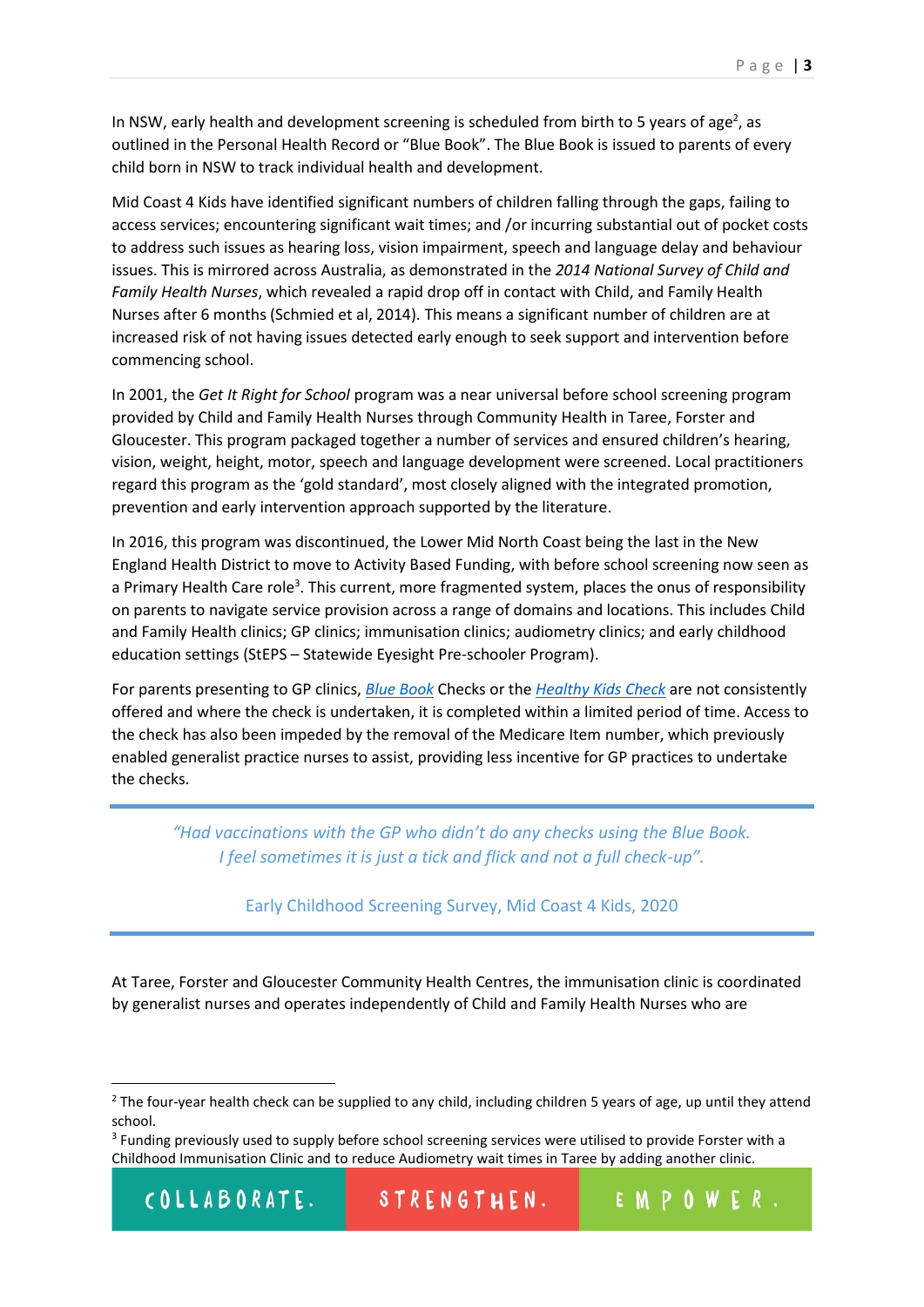In NSW, early health and development screening is scheduled from birth to 5 years of age<sup>2</sup>, as outlined in the Personal Health Record or "Blue Book". The Blue Book is issued to parents of every child born in NSW to track individual health and development.

Mid Coast 4 Kids have identified significant numbers of children falling through the gaps, failing to access services; encountering significant wait times; and /or incurring substantial out of pocket costs to address such issues as hearing loss, vision impairment, speech and language delay and behaviour issues. This is mirrored across Australia, as demonstrated in the *2014 National Survey of Child and Family Health Nurses*, which revealed a rapid drop off in contact with Child, and Family Health Nurses after 6 months (Schmied et al, 2014). This means a significant number of children are at increased risk of not having issues detected early enough to seek support and intervention before commencing school.

In 2001, the *Get It Right for School* program was a near universal before school screening program provided by Child and Family Health Nurses through Community Health in Taree, Forster and Gloucester. This program packaged together a number of services and ensured children's hearing, vision, weight, height, motor, speech and language development were screened. Local practitioners regard this program as the 'gold standard', most closely aligned with the integrated promotion, prevention and early intervention approach supported by the literature.

In 2016, this program was discontinued, the Lower Mid North Coast being the last in the New England Health District to move to Activity Based Funding, with before school screening now seen as a Primary Health Care role<sup>3</sup>. This current, more fragmented system, places the onus of responsibility on parents to navigate service provision across a range of domains and locations. This includes Child and Family Health clinics; GP clinics; immunisation clinics; audiometry clinics; and early childhood education settings (StEPS – Statewide Eyesight Pre-schooler Program).

For parents presenting to GP clinics, *[Blue Book](https://www.health.nsw.gov.au/kidsfamilies/MCFhealth/Pages/child-blue-book.aspx)* Checks or the *Healthy [Kids Check](https://www1.health.gov.au/internet/main/publishing.nsf/Content/AA19024A21F2A7EACA257BF0001DAB97/$File/Medicare%20Health%20Checklist%20SCREEN.pdf)* are not consistently offered and where the check is undertaken, it is completed within a limited period of time. Access to the check has also been impeded by the removal of the Medicare Item number, which previously enabled generalist practice nurses to assist, providing less incentive for GP practices to undertake the checks.

*"Had vaccinations with the GP who didn't do any checks using the Blue Book. I feel sometimes it is just a tick and flick and not a full check-up".*

Early Childhood Screening Survey, Mid Coast 4 Kids, 2020

At Taree, Forster and Gloucester Community Health Centres, the immunisation clinic is coordinated by generalist nurses and operates independently of Child and Family Health Nurses who are

1

 $2$  The four-year health check can be supplied to any child, including children 5 years of age, up until they attend school.

<sup>&</sup>lt;sup>3</sup> Funding previously used to supply before school screening services were utilised to provide Forster with a Childhood Immunisation Clinic and to reduce Audiometry wait times in Taree by adding another clinic.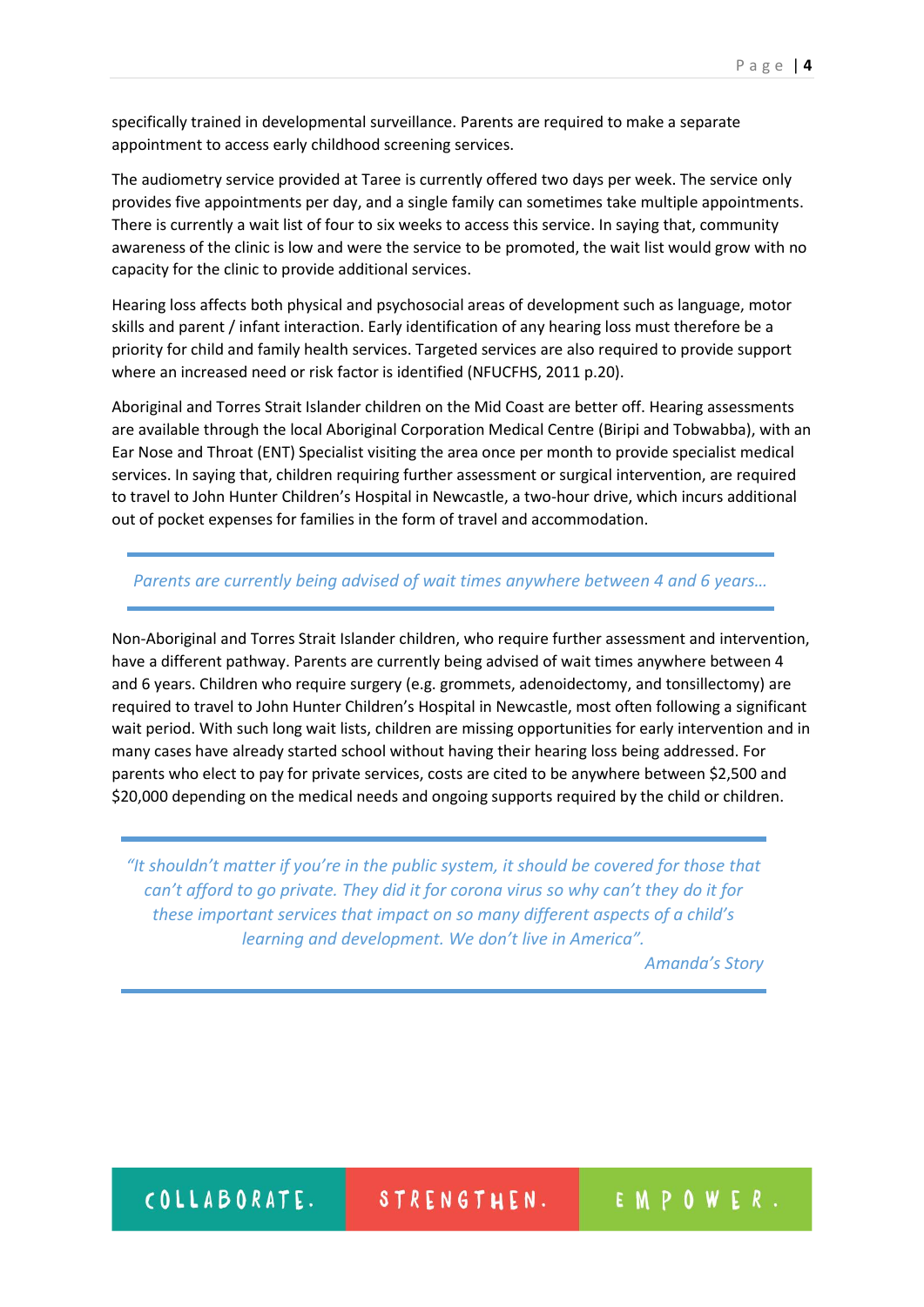specifically trained in developmental surveillance. Parents are required to make a separate appointment to access early childhood screening services.

The audiometry service provided at Taree is currently offered two days per week. The service only provides five appointments per day, and a single family can sometimes take multiple appointments. There is currently a wait list of four to six weeks to access this service. In saying that, community awareness of the clinic is low and were the service to be promoted, the wait list would grow with no capacity for the clinic to provide additional services.

Hearing loss affects both physical and psychosocial areas of development such as language, motor skills and parent / infant interaction. Early identification of any hearing loss must therefore be a priority for child and family health services. Targeted services are also required to provide support where an increased need or risk factor is identified (NFUCFHS, 2011 p.20).

Aboriginal and Torres Strait Islander children on the Mid Coast are better off. Hearing assessments are available through the local Aboriginal Corporation Medical Centre (Biripi and Tobwabba), with an Ear Nose and Throat (ENT) Specialist visiting the area once per month to provide specialist medical services. In saying that, children requiring further assessment or surgical intervention, are required to travel to John Hunter Children's Hospital in Newcastle, a two-hour drive, which incurs additional out of pocket expenses for families in the form of travel and accommodation.

## *Parents are currently being advised of wait times anywhere between 4 and 6 years…*

Non-Aboriginal and Torres Strait Islander children, who require further assessment and intervention, have a different pathway. Parents are currently being advised of wait times anywhere between 4 and 6 years. Children who require surgery (e.g. grommets, adenoidectomy, and tonsillectomy) are required to travel to John Hunter Children's Hospital in Newcastle, most often following a significant wait period. With such long wait lists, children are missing opportunities for early intervention and in many cases have already started school without having their hearing loss being addressed. For parents who elect to pay for private services, costs are cited to be anywhere between \$2,500 and \$20,000 depending on the medical needs and ongoing supports required by the child or children.

*"It shouldn't matter if you're in the public system, it should be covered for those that can't afford to go private. They did it for corona virus so why can't they do it for these important services that impact on so many different aspects of a child's learning and development. We don't live in America".*

*Amanda's Story*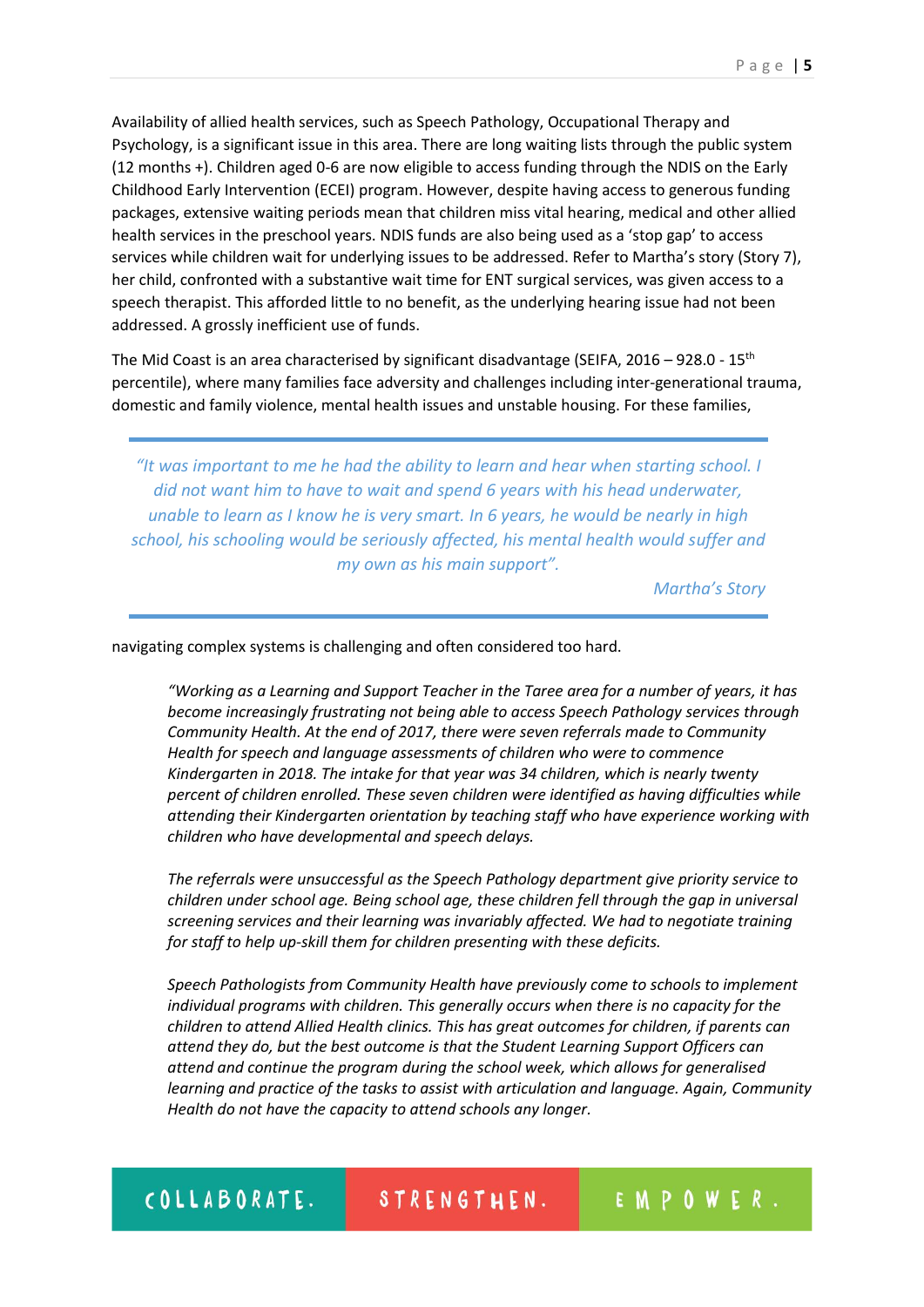Availability of allied health services, such as Speech Pathology, Occupational Therapy and Psychology, is a significant issue in this area. There are long waiting lists through the public system (12 months +). Children aged 0-6 are now eligible to access funding through the NDIS on the Early Childhood Early Intervention (ECEI) program. However, despite having access to generous funding packages, extensive waiting periods mean that children miss vital hearing, medical and other allied health services in the preschool years. NDIS funds are also being used as a 'stop gap' to access services while children wait for underlying issues to be addressed. Refer to Martha's story (Story 7), her child, confronted with a substantive wait time for ENT surgical services, was given access to a speech therapist. This afforded little to no benefit, as the underlying hearing issue had not been addressed. A grossly inefficient use of funds.

The Mid Coast is an area characterised by significant disadvantage (SEIFA, 2016 – 928.0 - 15<sup>th</sup> percentile), where many families face adversity and challenges including inter-generational trauma, domestic and family violence, mental health issues and unstable housing. For these families,

*"It was important to me he had the ability to learn and hear when starting school. I did not want him to have to wait and spend 6 years with his head underwater, unable to learn as I know he is very smart. In 6 years, he would be nearly in high school, his schooling would be seriously affected, his mental health would suffer and my own as his main support".*

*Martha's Story*

navigating complex systems is challenging and often considered too hard.

*"Working as a Learning and Support Teacher in the Taree area for a number of years, it has become increasingly frustrating not being able to access Speech Pathology services through Community Health. At the end of 2017, there were seven referrals made to Community Health for speech and language assessments of children who were to commence Kindergarten in 2018. The intake for that year was 34 children, which is nearly twenty percent of children enrolled. These seven children were identified as having difficulties while attending their Kindergarten orientation by teaching staff who have experience working with children who have developmental and speech delays.*

*The referrals were unsuccessful as the Speech Pathology department give priority service to children under school age. Being school age, these children fell through the gap in universal screening services and their learning was invariably affected. We had to negotiate training for staff to help up-skill them for children presenting with these deficits.*

*Speech Pathologists from Community Health have previously come to schools to implement individual programs with children. This generally occurs when there is no capacity for the children to attend Allied Health clinics. This has great outcomes for children, if parents can attend they do, but the best outcome is that the Student Learning Support Officers can attend and continue the program during the school week, which allows for generalised learning and practice of the tasks to assist with articulation and language. Again, Community Health do not have the capacity to attend schools any longer.*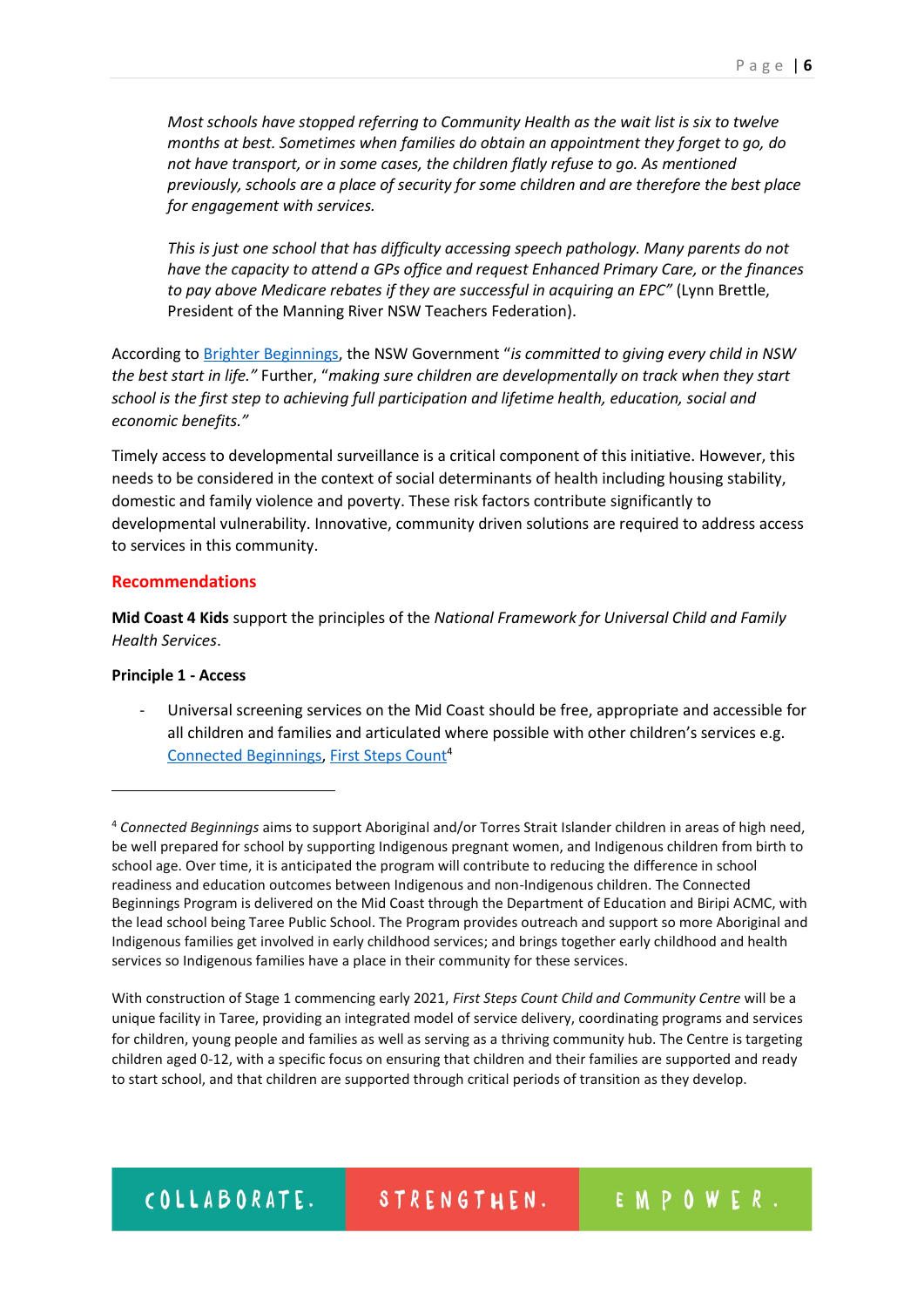*Most schools have stopped referring to Community Health as the wait list is six to twelve months at best. Sometimes when families do obtain an appointment they forget to go, do not have transport, or in some cases, the children flatly refuse to go. As mentioned previously, schools are a place of security for some children and are therefore the best place for engagement with services.*

*This is just one school that has difficulty accessing speech pathology. Many parents do not have the capacity to attend a GPs office and request Enhanced Primary Care, or the finances to pay above Medicare rebates if they are successful in acquiring an EPC"* (Lynn Brettle, President of the Manning River NSW Teachers Federation).

According to [Brighter Beginnings](https://www.nsw.gov.au/initiative/brighter-beginnings), the NSW Government "*is committed to giving every child in NSW the best start in life."* Further, "*making sure children are developmentally on track when they start school is the first step to achieving full participation and lifetime health, education, social and economic benefits."* 

Timely access to developmental surveillance is a critical component of this initiative. However, this needs to be considered in the context of social determinants of health including housing stability, domestic and family violence and poverty. These risk factors contribute significantly to developmental vulnerability. Innovative, community driven solutions are required to address access to services in this community.

## **Recommendations**

**Mid Coast 4 Kids** support the principles of the *National Framework for Universal Child and Family Health Services*.

## **Principle 1 - Access**

**.** 

- Universal screening services on the Mid Coast should be free, appropriate and accessible for all children and families and articulated where possible with other children's services e.g. [Connected Beginnings,](https://www.education.gov.au/connected-beginnings-program) [First Steps Count](https://www.facebook.com/firststepscount/)<sup>4</sup>

With construction of Stage 1 commencing early 2021, *First Steps Count Child and Community Centre* will be a unique facility in Taree, providing an integrated model of service delivery, coordinating programs and services for children, young people and families as well as serving as a thriving community hub. The Centre is targeting children aged 0-12, with a specific focus on ensuring that children and their families are supported and ready to start school, and that children are supported through critical periods of transition as they develop.

EMPOWER.

<sup>4</sup> *Connected Beginnings* aims to support Aboriginal and/or Torres Strait Islander children in areas of high need, be well prepared for school by supporting Indigenous pregnant women, and Indigenous children from birth to school age. Over time, it is anticipated the program will contribute to reducing the difference in school readiness and education outcomes between Indigenous and non-Indigenous children. The Connected Beginnings Program is delivered on the Mid Coast through the Department of Education and Biripi ACMC, with the lead school being Taree Public School. The Program provides outreach and support so more Aboriginal and Indigenous families get involved in early childhood services; and brings together early childhood and health services so Indigenous families have a place in their community for these services.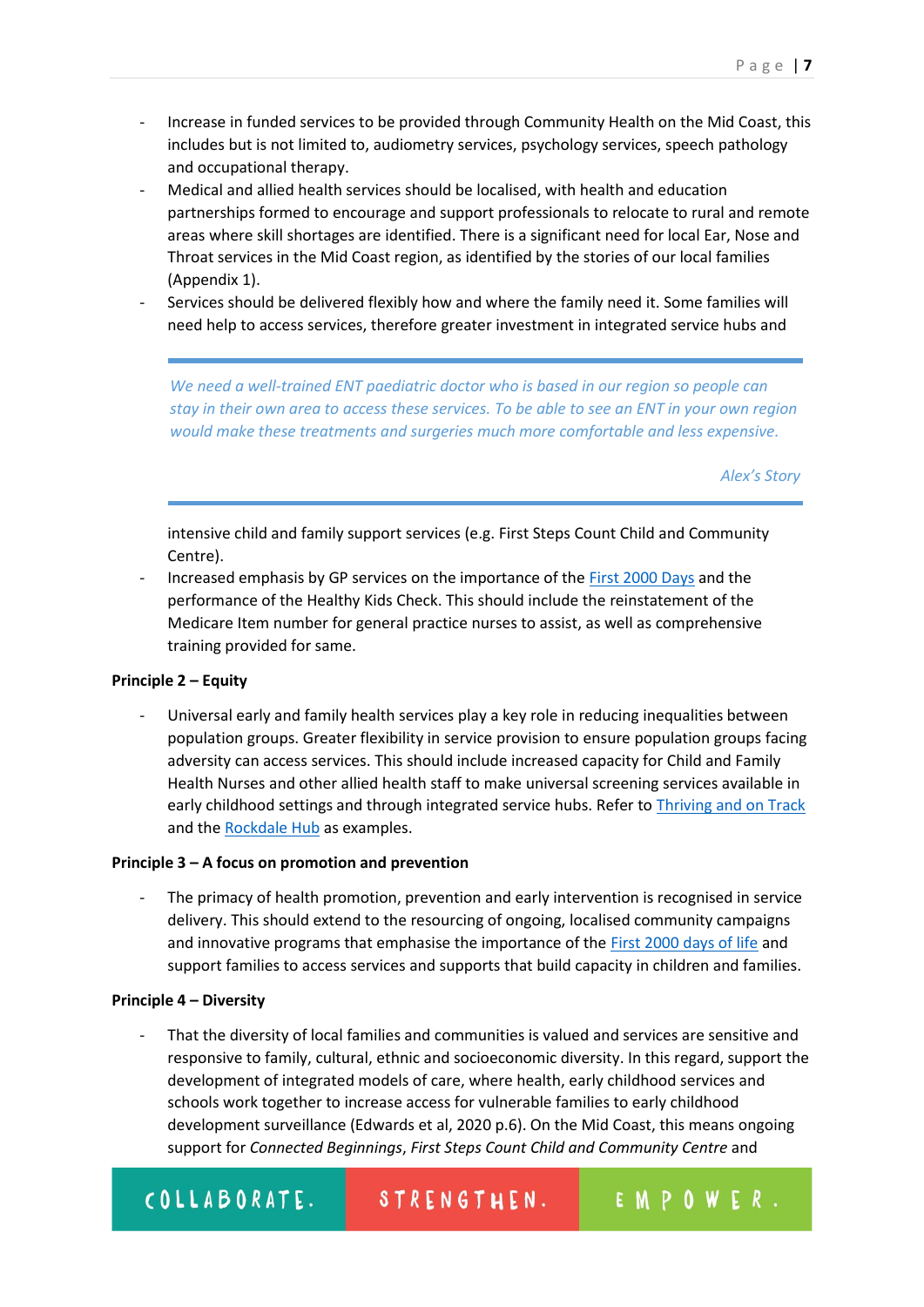- Increase in funded services to be provided through Community Health on the Mid Coast, this includes but is not limited to, audiometry services, psychology services, speech pathology and occupational therapy.
- Medical and allied health services should be localised, with health and education partnerships formed to encourage and support professionals to relocate to rural and remote areas where skill shortages are identified. There is a significant need for local Ear, Nose and Throat services in the Mid Coast region, as identified by the stories of our local families (Appendix 1).
- Services should be delivered flexibly how and where the family need it. Some families will need help to access services, therefore greater investment in integrated service hubs and

*We need a well-trained ENT paediatric doctor who is based in our region so people can stay in their own area to access these services. To be able to see an ENT in your own region would make these treatments and surgeries much more comfortable and less expensive.*

*Alex's Story*

intensive child and family support services (e.g. First Steps Count Child and Community Centre).

- Increased emphasis by GP services on the importance of th[e First 2000 Days](https://www1.health.nsw.gov.au/pds/ActivePDSDocuments/PD2019_008.pdf) and the performance of the Healthy Kids Check. This should include the reinstatement of the Medicare Item number for general practice nurses to assist, as well as comprehensive training provided for same.

## **Principle 2 – Equity**

Universal early and family health services play a key role in reducing inequalities between population groups. Greater flexibility in service provision to ensure population groups facing adversity can access services. This should include increased capacity for Child and Family Health Nurses and other allied health staff to make universal screening services available in early childhood settings and through integrated service hubs. Refer to [Thriving and on Track](https://bsphn.org.au/support/for-your-patients-clients/child-youth-and-family/) and th[e Rockdale Hub](https://www.rockdalehub.com.au/) as examples.

#### **Principle 3 – A focus on promotion and prevention**

The primacy of health promotion, prevention and early intervention is recognised in service delivery. This should extend to the resourcing of ongoing, localised community campaigns and innovative programs that emphasise the importance of the [First 2000 days of life](https://www.health.nsw.gov.au/kidsfamilies/programs/Pages/first-2000-days.aspx) and support families to access services and supports that build capacity in children and families.

#### **Principle 4 – Diversity**

That the diversity of local families and communities is valued and services are sensitive and responsive to family, cultural, ethnic and socioeconomic diversity. In this regard, support the development of integrated models of care, where health, early childhood services and schools work together to increase access for vulnerable families to early childhood development surveillance (Edwards et al, 2020 p.6). On the Mid Coast, this means ongoing support for *Connected Beginnings*, *First Steps Count Child and Community Centre* and

#### COLLABORATE. EMPOWER. STRENGTHEN.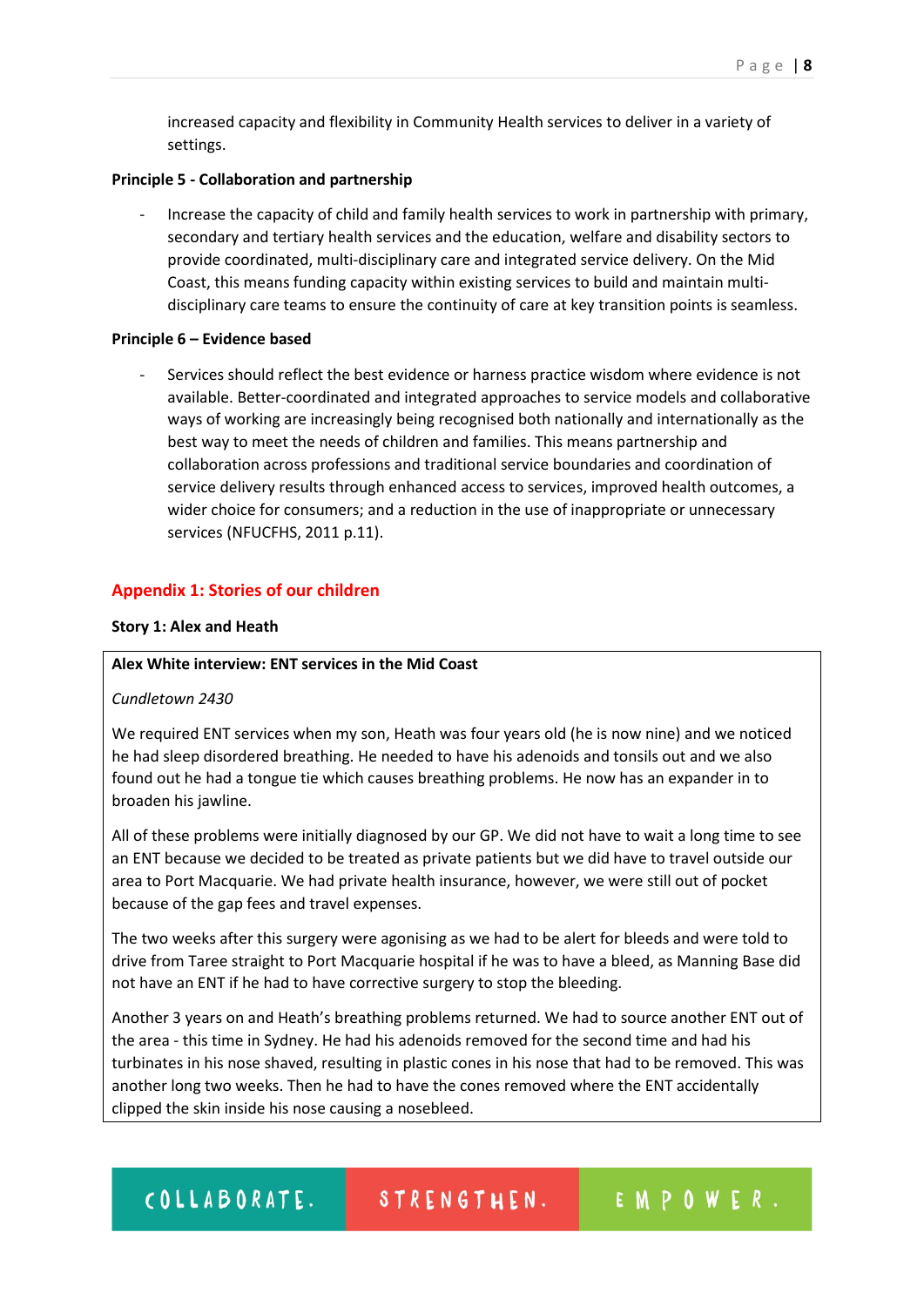increased capacity and flexibility in Community Health services to deliver in a variety of settings.

#### **Principle 5 - Collaboration and partnership**

- Increase the capacity of child and family health services to work in partnership with primary, secondary and tertiary health services and the education, welfare and disability sectors to provide coordinated, multi-disciplinary care and integrated service delivery. On the Mid Coast, this means funding capacity within existing services to build and maintain multidisciplinary care teams to ensure the continuity of care at key transition points is seamless.

#### **Principle 6 – Evidence based**

Services should reflect the best evidence or harness practice wisdom where evidence is not available. Better-coordinated and integrated approaches to service models and collaborative ways of working are increasingly being recognised both nationally and internationally as the best way to meet the needs of children and families. This means partnership and collaboration across professions and traditional service boundaries and coordination of service delivery results through enhanced access to services, improved health outcomes, a wider choice for consumers; and a reduction in the use of inappropriate or unnecessary services (NFUCFHS, 2011 p.11).

#### **Appendix 1: Stories of our children**

#### **Story 1: Alex and Heath**

## **Alex White interview: ENT services in the Mid Coast**

#### *Cundletown 2430*

We required ENT services when my son, Heath was four years old (he is now nine) and we noticed he had sleep disordered breathing. He needed to have his adenoids and tonsils out and we also found out he had a tongue tie which causes breathing problems. He now has an expander in to broaden his jawline.

All of these problems were initially diagnosed by our GP. We did not have to wait a long time to see an ENT because we decided to be treated as private patients but we did have to travel outside our area to Port Macquarie. We had private health insurance, however, we were still out of pocket because of the gap fees and travel expenses.

The two weeks after this surgery were agonising as we had to be alert for bleeds and were told to drive from Taree straight to Port Macquarie hospital if he was to have a bleed, as Manning Base did not have an ENT if he had to have corrective surgery to stop the bleeding.

Another 3 years on and Heath's breathing problems returned. We had to source another ENT out of the area - this time in Sydney. He had his adenoids removed for the second time and had his turbinates in his nose shaved, resulting in plastic cones in his nose that had to be removed. This was another long two weeks. Then he had to have the cones removed where the ENT accidentally clipped the skin inside his nose causing a nosebleed.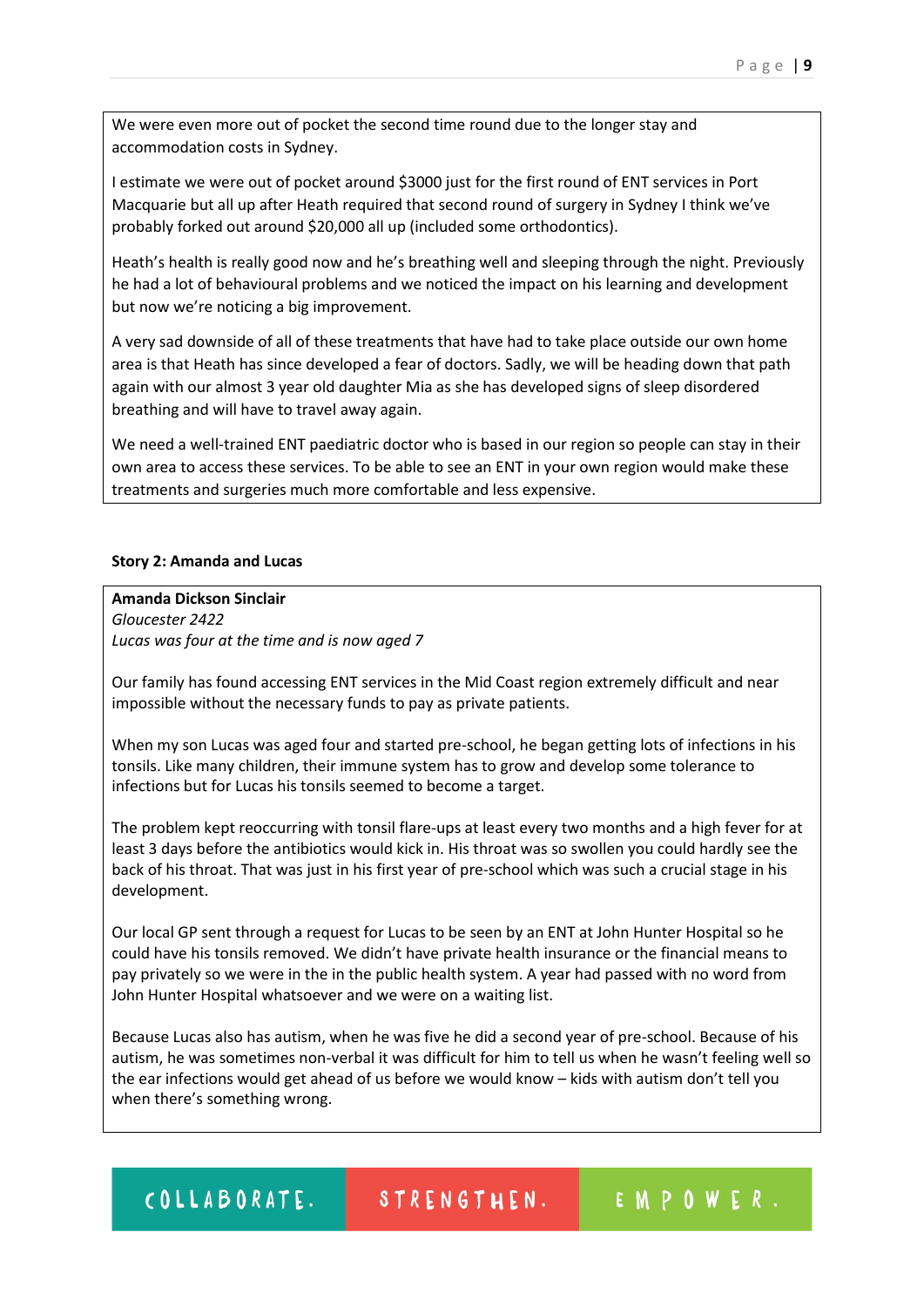We were even more out of pocket the second time round due to the longer stay and accommodation costs in Sydney.

I estimate we were out of pocket around \$3000 just for the first round of ENT services in Port Macquarie but all up after Heath required that second round of surgery in Sydney I think we've probably forked out around \$20,000 all up (included some orthodontics).

Heath's health is really good now and he's breathing well and sleeping through the night. Previously he had a lot of behavioural problems and we noticed the impact on his learning and development but now we're noticing a big improvement.

A very sad downside of all of these treatments that have had to take place outside our own home area is that Heath has since developed a fear of doctors. Sadly, we will be heading down that path again with our almost 3 year old daughter Mia as she has developed signs of sleep disordered breathing and will have to travel away again.

We need a well-trained ENT paediatric doctor who is based in our region so people can stay in their own area to access these services. To be able to see an ENT in your own region would make these treatments and surgeries much more comfortable and less expensive.

## **Story 2: Amanda and Lucas**

**Amanda Dickson Sinclair** *Gloucester 2422 Lucas was four at the time and is now aged 7*

Our family has found accessing ENT services in the Mid Coast region extremely difficult and near impossible without the necessary funds to pay as private patients.

When my son Lucas was aged four and started pre-school, he began getting lots of infections in his tonsils. Like many children, their immune system has to grow and develop some tolerance to infections but for Lucas his tonsils seemed to become a target.

The problem kept reoccurring with tonsil flare-ups at least every two months and a high fever for at least 3 days before the antibiotics would kick in. His throat was so swollen you could hardly see the back of his throat. That was just in his first year of pre-school which was such a crucial stage in his development.

Our local GP sent through a request for Lucas to be seen by an ENT at John Hunter Hospital so he could have his tonsils removed. We didn't have private health insurance or the financial means to pay privately so we were in the in the public health system. A year had passed with no word from John Hunter Hospital whatsoever and we were on a waiting list.

Because Lucas also has autism, when he was five he did a second year of pre-school. Because of his autism, he was sometimes non-verbal it was difficult for him to tell us when he wasn't feeling well so the ear infections would get ahead of us before we would know – kids with autism don't tell you when there's something wrong.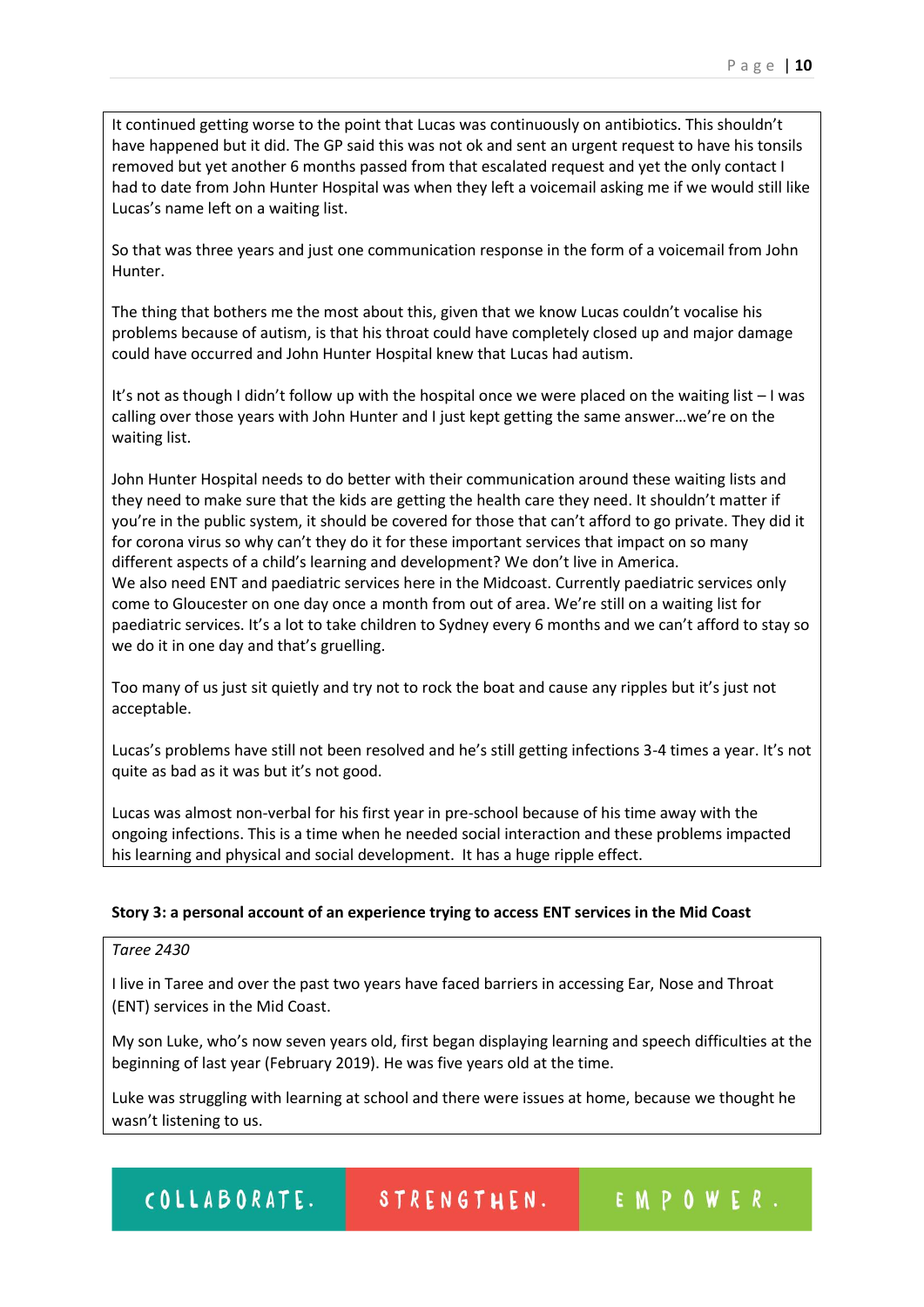It continued getting worse to the point that Lucas was continuously on antibiotics. This shouldn't have happened but it did. The GP said this was not ok and sent an urgent request to have his tonsils removed but yet another 6 months passed from that escalated request and yet the only contact I had to date from John Hunter Hospital was when they left a voicemail asking me if we would still like Lucas's name left on a waiting list.

So that was three years and just one communication response in the form of a voicemail from John Hunter.

The thing that bothers me the most about this, given that we know Lucas couldn't vocalise his problems because of autism, is that his throat could have completely closed up and major damage could have occurred and John Hunter Hospital knew that Lucas had autism.

It's not as though I didn't follow up with the hospital once we were placed on the waiting list – I was calling over those years with John Hunter and I just kept getting the same answer…we're on the waiting list.

John Hunter Hospital needs to do better with their communication around these waiting lists and they need to make sure that the kids are getting the health care they need. It shouldn't matter if you're in the public system, it should be covered for those that can't afford to go private. They did it for corona virus so why can't they do it for these important services that impact on so many different aspects of a child's learning and development? We don't live in America. We also need ENT and paediatric services here in the Midcoast. Currently paediatric services only come to Gloucester on one day once a month from out of area. We're still on a waiting list for paediatric services. It's a lot to take children to Sydney every 6 months and we can't afford to stay so we do it in one day and that's gruelling.

Too many of us just sit quietly and try not to rock the boat and cause any ripples but it's just not acceptable.

Lucas's problems have still not been resolved and he's still getting infections 3-4 times a year. It's not quite as bad as it was but it's not good.

Lucas was almost non-verbal for his first year in pre-school because of his time away with the ongoing infections. This is a time when he needed social interaction and these problems impacted his learning and physical and social development. It has a huge ripple effect.

## **Story 3: a personal account of an experience trying to access ENT services in the Mid Coast**

## *Taree 2430*

I live in Taree and over the past two years have faced barriers in accessing Ear, Nose and Throat (ENT) services in the Mid Coast.

My son Luke, who's now seven years old, first began displaying learning and speech difficulties at the beginning of last year (February 2019). He was five years old at the time.

Luke was struggling with learning at school and there were issues at home, because we thought he wasn't listening to us.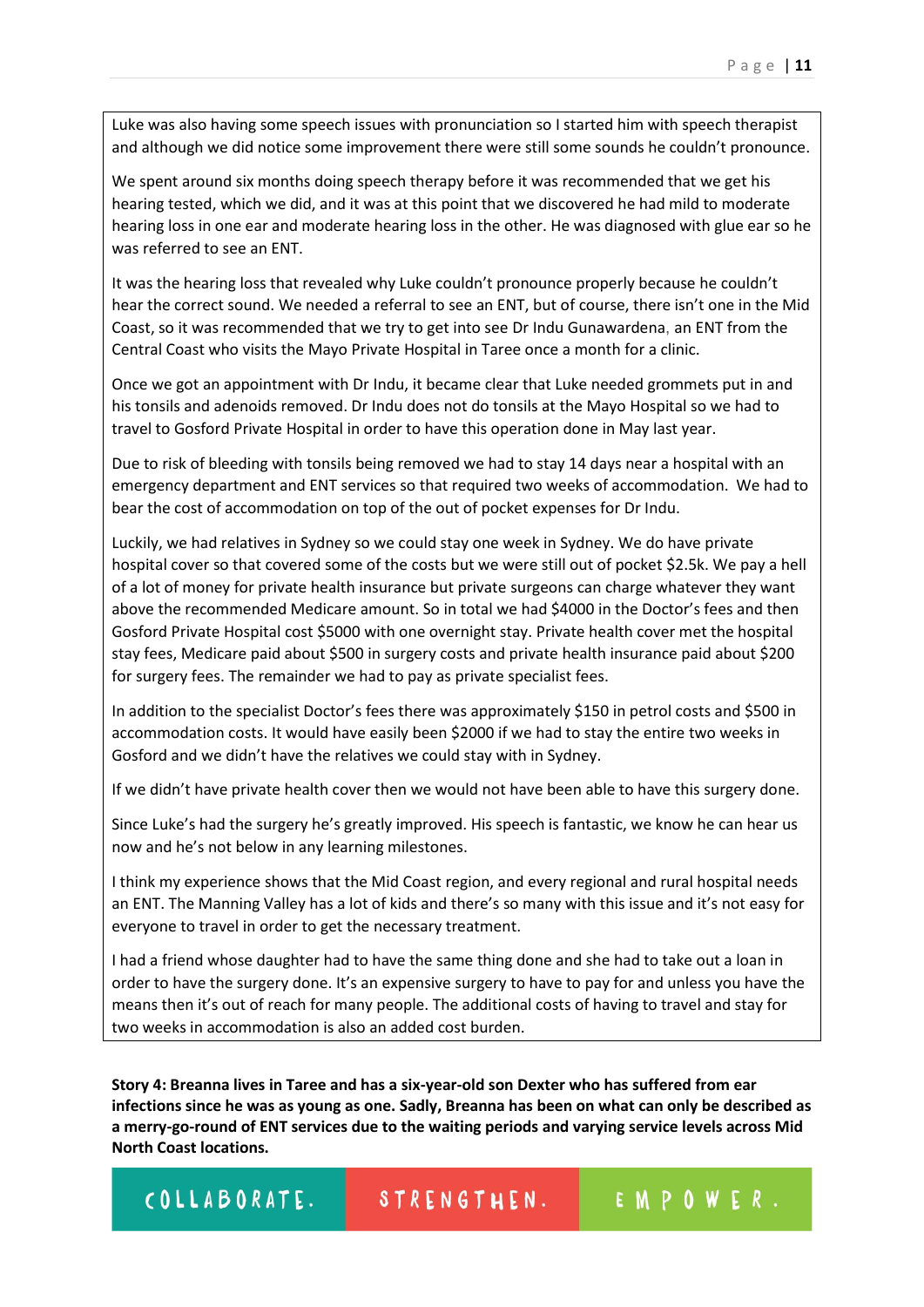Luke was also having some speech issues with pronunciation so I started him with speech therapist and although we did notice some improvement there were still some sounds he couldn't pronounce.

We spent around six months doing speech therapy before it was recommended that we get his hearing tested, which we did, and it was at this point that we discovered he had mild to moderate hearing loss in one ear and moderate hearing loss in the other. He was diagnosed with glue ear so he was referred to see an ENT.

It was the hearing loss that revealed why Luke couldn't pronounce properly because he couldn't hear the correct sound. We needed a referral to see an ENT, but of course, there isn't one in the Mid Coast, so it was recommended that we try to get into see Dr Indu Gunawardena, an ENT from the Central Coast who visits the Mayo Private Hospital in Taree once a month for a clinic.

Once we got an appointment with Dr Indu, it became clear that Luke needed grommets put in and his tonsils and adenoids removed. Dr Indu does not do tonsils at the Mayo Hospital so we had to travel to Gosford Private Hospital in order to have this operation done in May last year.

Due to risk of bleeding with tonsils being removed we had to stay 14 days near a hospital with an emergency department and ENT services so that required two weeks of accommodation. We had to bear the cost of accommodation on top of the out of pocket expenses for Dr Indu.

Luckily, we had relatives in Sydney so we could stay one week in Sydney. We do have private hospital cover so that covered some of the costs but we were still out of pocket \$2.5k. We pay a hell of a lot of money for private health insurance but private surgeons can charge whatever they want above the recommended Medicare amount. So in total we had \$4000 in the Doctor's fees and then Gosford Private Hospital cost \$5000 with one overnight stay. Private health cover met the hospital stay fees, Medicare paid about \$500 in surgery costs and private health insurance paid about \$200 for surgery fees. The remainder we had to pay as private specialist fees.

In addition to the specialist Doctor's fees there was approximately \$150 in petrol costs and \$500 in accommodation costs. It would have easily been \$2000 if we had to stay the entire two weeks in Gosford and we didn't have the relatives we could stay with in Sydney.

If we didn't have private health cover then we would not have been able to have this surgery done.

Since Luke's had the surgery he's greatly improved. His speech is fantastic, we know he can hear us now and he's not below in any learning milestones.

I think my experience shows that the Mid Coast region, and every regional and rural hospital needs an ENT. The Manning Valley has a lot of kids and there's so many with this issue and it's not easy for everyone to travel in order to get the necessary treatment.

I had a friend whose daughter had to have the same thing done and she had to take out a loan in order to have the surgery done. It's an expensive surgery to have to pay for and unless you have the means then it's out of reach for many people. The additional costs of having to travel and stay for two weeks in accommodation is also an added cost burden.

**Story 4: Breanna lives in Taree and has a six-year-old son Dexter who has suffered from ear infections since he was as young as one. Sadly, Breanna has been on what can only be described as a merry-go-round of ENT services due to the waiting periods and varying service levels across Mid North Coast locations.**

STRENGTHEN. EMPOWER. COLLABORATE.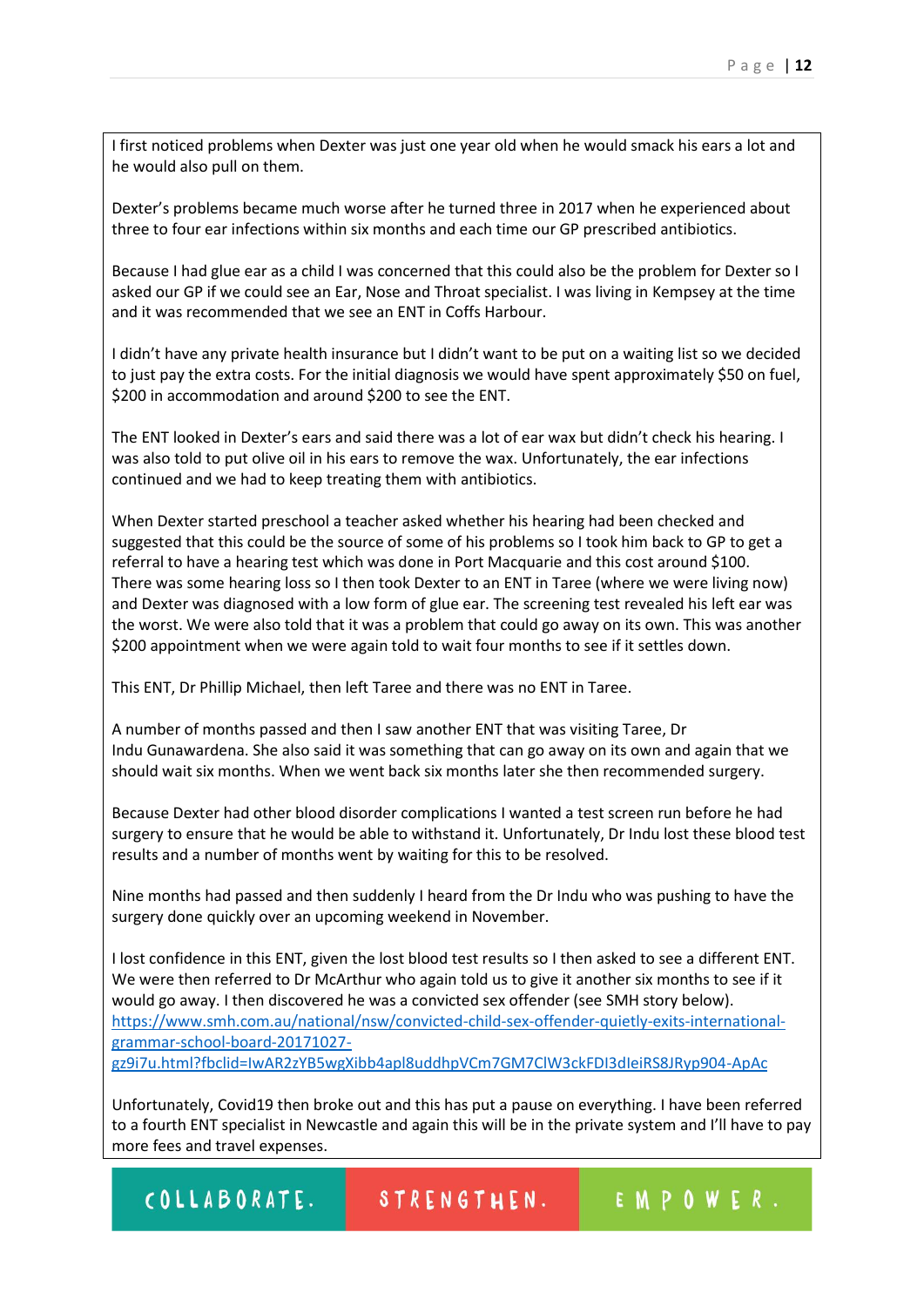I first noticed problems when Dexter was just one year old when he would smack his ears a lot and he would also pull on them.

Dexter's problems became much worse after he turned three in 2017 when he experienced about three to four ear infections within six months and each time our GP prescribed antibiotics.

Because I had glue ear as a child I was concerned that this could also be the problem for Dexter so I asked our GP if we could see an Ear, Nose and Throat specialist. I was living in Kempsey at the time and it was recommended that we see an ENT in Coffs Harbour.

I didn't have any private health insurance but I didn't want to be put on a waiting list so we decided to just pay the extra costs. For the initial diagnosis we would have spent approximately \$50 on fuel, \$200 in accommodation and around \$200 to see the ENT.

The ENT looked in Dexter's ears and said there was a lot of ear wax but didn't check his hearing. I was also told to put olive oil in his ears to remove the wax. Unfortunately, the ear infections continued and we had to keep treating them with antibiotics.

When Dexter started preschool a teacher asked whether his hearing had been checked and suggested that this could be the source of some of his problems so I took him back to GP to get a referral to have a hearing test which was done in Port Macquarie and this cost around \$100. There was some hearing loss so I then took Dexter to an ENT in Taree (where we were living now) and Dexter was diagnosed with a low form of glue ear. The screening test revealed his left ear was the worst. We were also told that it was a problem that could go away on its own. This was another \$200 appointment when we were again told to wait four months to see if it settles down.

This ENT, Dr Phillip Michael, then left Taree and there was no ENT in Taree.

A number of months passed and then I saw another ENT that was visiting Taree, Dr Indu Gunawardena. She also said it was something that can go away on its own and again that we should wait six months. When we went back six months later she then recommended surgery.

Because Dexter had other blood disorder complications I wanted a test screen run before he had surgery to ensure that he would be able to withstand it. Unfortunately, Dr Indu lost these blood test results and a number of months went by waiting for this to be resolved.

Nine months had passed and then suddenly I heard from the Dr Indu who was pushing to have the surgery done quickly over an upcoming weekend in November.

I lost confidence in this ENT, given the lost blood test results so I then asked to see a different ENT. We were then referred to Dr McArthur who again told us to give it another six months to see if it would go away. I then discovered he was a convicted sex offender (see SMH story below). [https://www.smh.com.au/national/nsw/convicted-child-sex-offender-quietly-exits-international](https://www.smh.com.au/national/nsw/convicted-child-sex-offender-quietly-exits-international-grammar-school-board-20171027-gz9i7u.html?fbclid=IwAR2zYB5wgXibb4apl8uddhpVCm7GM7ClW3ckFDI3dIeiRS8JRyp904-ApAc)[grammar-school-board-20171027](https://www.smh.com.au/national/nsw/convicted-child-sex-offender-quietly-exits-international-grammar-school-board-20171027-gz9i7u.html?fbclid=IwAR2zYB5wgXibb4apl8uddhpVCm7GM7ClW3ckFDI3dIeiRS8JRyp904-ApAc) [gz9i7u.html?fbclid=IwAR2zYB5wgXibb4apl8uddhpVCm7GM7ClW3ckFDI3dIeiRS8JRyp904-ApAc](https://www.smh.com.au/national/nsw/convicted-child-sex-offender-quietly-exits-international-grammar-school-board-20171027-gz9i7u.html?fbclid=IwAR2zYB5wgXibb4apl8uddhpVCm7GM7ClW3ckFDI3dIeiRS8JRyp904-ApAc)

Unfortunately, Covid19 then broke out and this has put a pause on everything. I have been referred to a fourth ENT specialist in Newcastle and again this will be in the private system and I'll have to pay more fees and travel expenses.

COLLABORATE.

STRENGTHEN.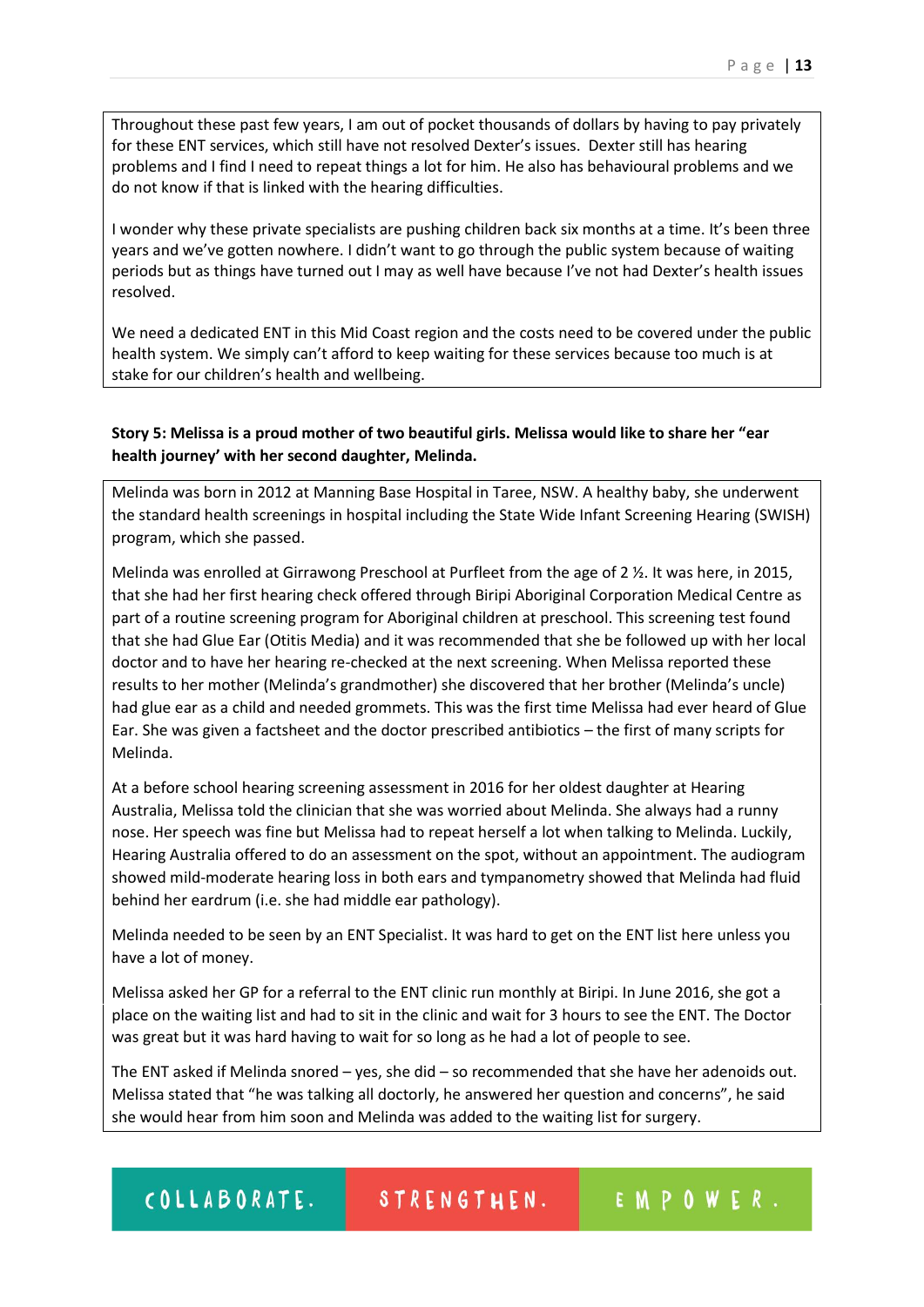Throughout these past few years, I am out of pocket thousands of dollars by having to pay privately for these ENT services, which still have not resolved Dexter's issues. Dexter still has hearing problems and I find I need to repeat things a lot for him. He also has behavioural problems and we do not know if that is linked with the hearing difficulties.

I wonder why these private specialists are pushing children back six months at a time. It's been three years and we've gotten nowhere. I didn't want to go through the public system because of waiting periods but as things have turned out I may as well have because I've not had Dexter's health issues resolved.

We need a dedicated ENT in this Mid Coast region and the costs need to be covered under the public health system. We simply can't afford to keep waiting for these services because too much is at stake for our children's health and wellbeing.

# **Story 5: Melissa is a proud mother of two beautiful girls. Melissa would like to share her "ear health journey' with her second daughter, Melinda.**

Melinda was born in 2012 at Manning Base Hospital in Taree, NSW. A healthy baby, she underwent the standard health screenings in hospital including the State Wide Infant Screening Hearing (SWISH) program, which she passed.

Melinda was enrolled at Girrawong Preschool at Purfleet from the age of 2 ½. It was here, in 2015, that she had her first hearing check offered through Biripi Aboriginal Corporation Medical Centre as part of a routine screening program for Aboriginal children at preschool. This screening test found that she had Glue Ear (Otitis Media) and it was recommended that she be followed up with her local doctor and to have her hearing re-checked at the next screening. When Melissa reported these results to her mother (Melinda's grandmother) she discovered that her brother (Melinda's uncle) had glue ear as a child and needed grommets. This was the first time Melissa had ever heard of Glue Ear. She was given a factsheet and the doctor prescribed antibiotics – the first of many scripts for Melinda.

At a before school hearing screening assessment in 2016 for her oldest daughter at Hearing Australia, Melissa told the clinician that she was worried about Melinda. She always had a runny nose. Her speech was fine but Melissa had to repeat herself a lot when talking to Melinda. Luckily, Hearing Australia offered to do an assessment on the spot, without an appointment. The audiogram showed mild-moderate hearing loss in both ears and tympanometry showed that Melinda had fluid behind her eardrum (i.e. she had middle ear pathology).

Melinda needed to be seen by an ENT Specialist. It was hard to get on the ENT list here unless you have a lot of money.

Melissa asked her GP for a referral to the ENT clinic run monthly at Biripi. In June 2016, she got a place on the waiting list and had to sit in the clinic and wait for 3 hours to see the ENT. The Doctor was great but it was hard having to wait for so long as he had a lot of people to see.

The ENT asked if Melinda snored – yes, she did – so recommended that she have her adenoids out. Melissa stated that "he was talking all doctorly, he answered her question and concerns", he said she would hear from him soon and Melinda was added to the waiting list for surgery.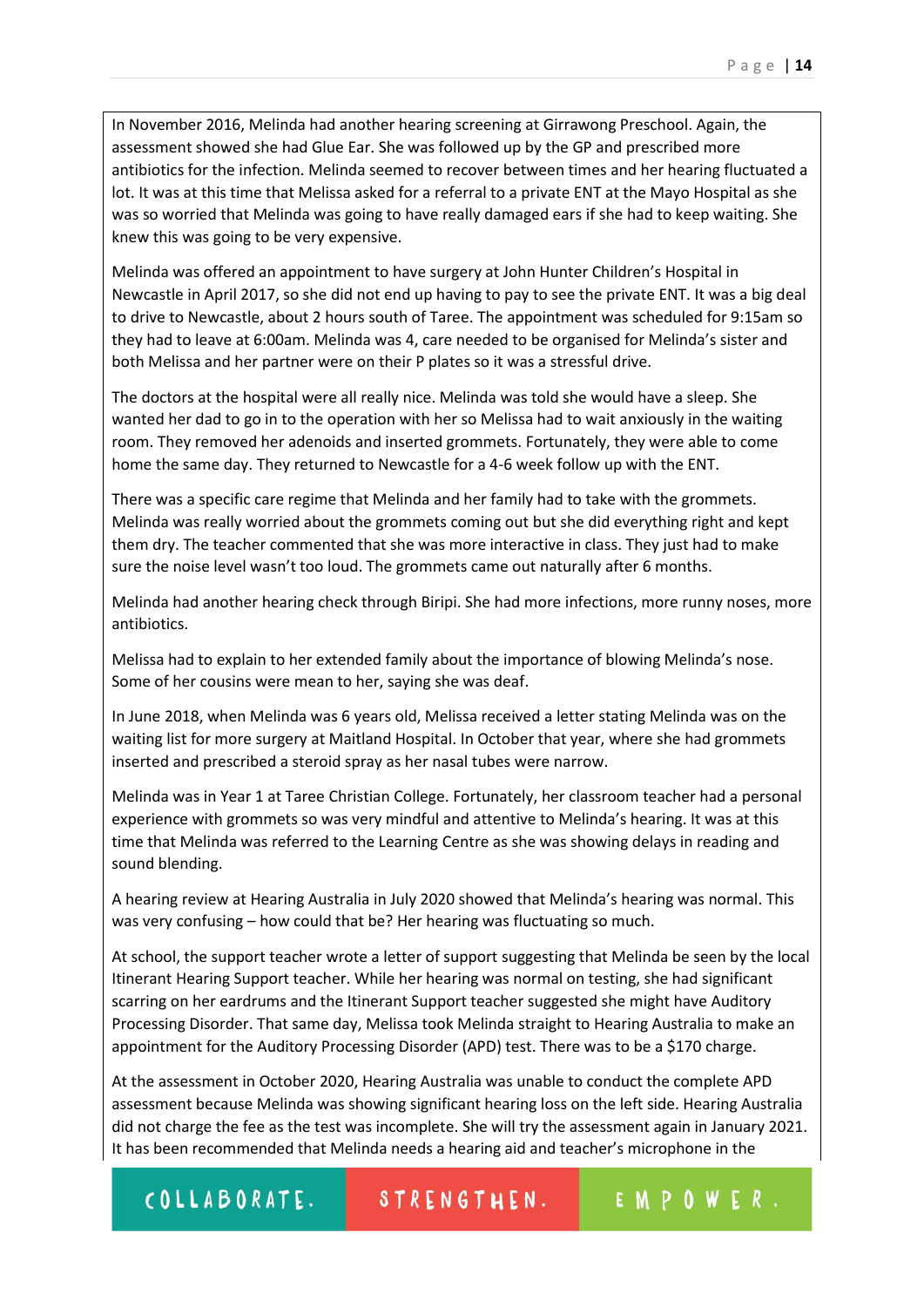In November 2016, Melinda had another hearing screening at Girrawong Preschool. Again, the assessment showed she had Glue Ear. She was followed up by the GP and prescribed more antibiotics for the infection. Melinda seemed to recover between times and her hearing fluctuated a lot. It was at this time that Melissa asked for a referral to a private ENT at the Mayo Hospital as she was so worried that Melinda was going to have really damaged ears if she had to keep waiting. She knew this was going to be very expensive.

Melinda was offered an appointment to have surgery at John Hunter Children's Hospital in Newcastle in April 2017, so she did not end up having to pay to see the private ENT. It was a big deal to drive to Newcastle, about 2 hours south of Taree. The appointment was scheduled for 9:15am so they had to leave at 6:00am. Melinda was 4, care needed to be organised for Melinda's sister and both Melissa and her partner were on their P plates so it was a stressful drive.

The doctors at the hospital were all really nice. Melinda was told she would have a sleep. She wanted her dad to go in to the operation with her so Melissa had to wait anxiously in the waiting room. They removed her adenoids and inserted grommets. Fortunately, they were able to come home the same day. They returned to Newcastle for a 4-6 week follow up with the ENT.

There was a specific care regime that Melinda and her family had to take with the grommets. Melinda was really worried about the grommets coming out but she did everything right and kept them dry. The teacher commented that she was more interactive in class. They just had to make sure the noise level wasn't too loud. The grommets came out naturally after 6 months.

Melinda had another hearing check through Biripi. She had more infections, more runny noses, more antibiotics.

Melissa had to explain to her extended family about the importance of blowing Melinda's nose. Some of her cousins were mean to her, saying she was deaf.

In June 2018, when Melinda was 6 years old, Melissa received a letter stating Melinda was on the waiting list for more surgery at Maitland Hospital. In October that year, where she had grommets inserted and prescribed a steroid spray as her nasal tubes were narrow.

Melinda was in Year 1 at Taree Christian College. Fortunately, her classroom teacher had a personal experience with grommets so was very mindful and attentive to Melinda's hearing. It was at this time that Melinda was referred to the Learning Centre as she was showing delays in reading and sound blending.

A hearing review at Hearing Australia in July 2020 showed that Melinda's hearing was normal. This was very confusing – how could that be? Her hearing was fluctuating so much.

At school, the support teacher wrote a letter of support suggesting that Melinda be seen by the local Itinerant Hearing Support teacher. While her hearing was normal on testing, she had significant scarring on her eardrums and the Itinerant Support teacher suggested she might have Auditory Processing Disorder. That same day, Melissa took Melinda straight to Hearing Australia to make an appointment for the Auditory Processing Disorder (APD) test. There was to be a \$170 charge.

At the assessment in October 2020, Hearing Australia was unable to conduct the complete APD assessment because Melinda was showing significant hearing loss on the left side. Hearing Australia did not charge the fee as the test was incomplete. She will try the assessment again in January 2021. It has been recommended that Melinda needs a hearing aid and teacher's microphone in the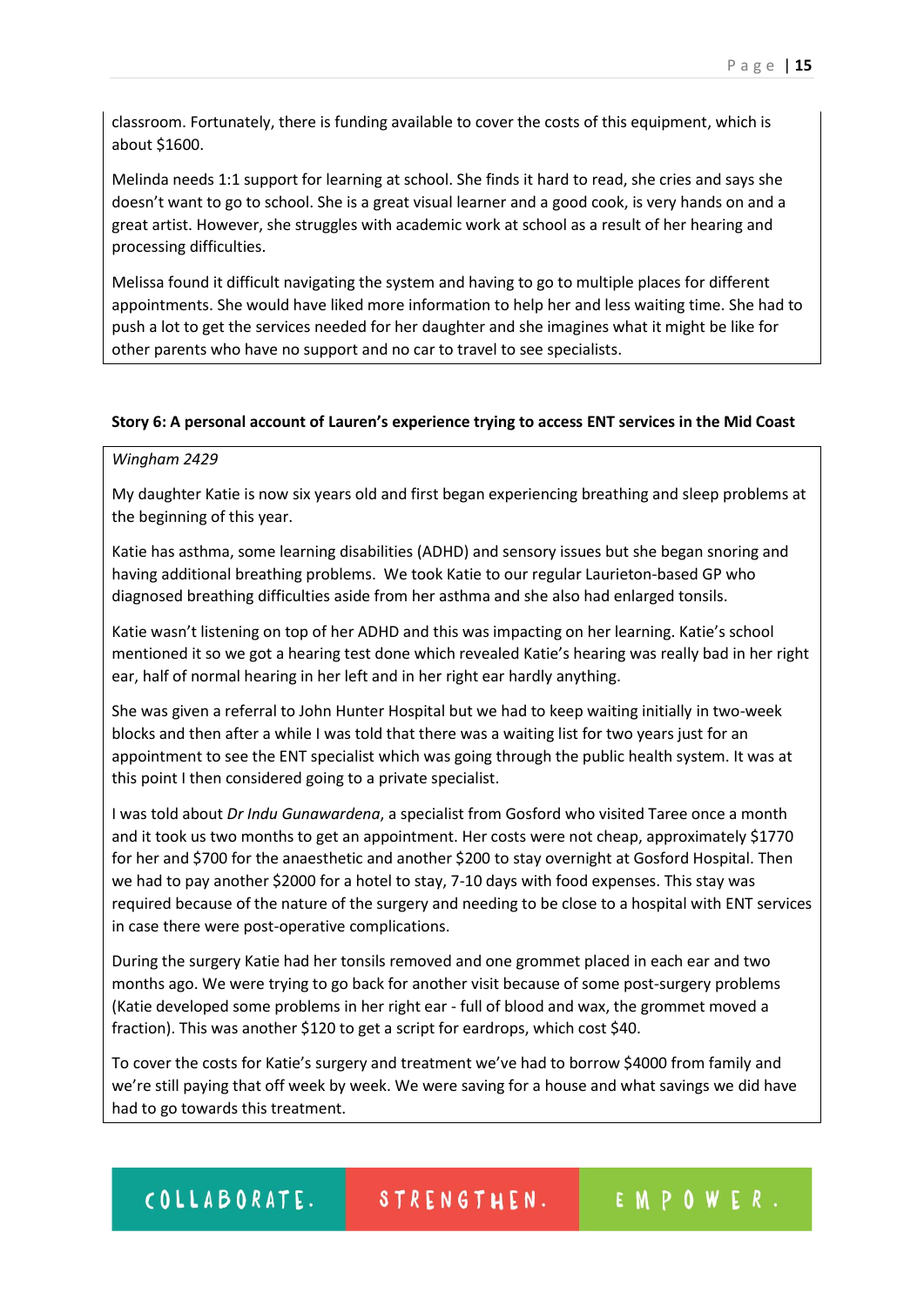classroom. Fortunately, there is funding available to cover the costs of this equipment, which is about \$1600.

Melinda needs 1:1 support for learning at school. She finds it hard to read, she cries and says she doesn't want to go to school. She is a great visual learner and a good cook, is very hands on and a great artist. However, she struggles with academic work at school as a result of her hearing and processing difficulties.

Melissa found it difficult navigating the system and having to go to multiple places for different appointments. She would have liked more information to help her and less waiting time. She had to push a lot to get the services needed for her daughter and she imagines what it might be like for other parents who have no support and no car to travel to see specialists.

## **Story 6: A personal account of Lauren's experience trying to access ENT services in the Mid Coast**

## *Wingham 2429*

My daughter Katie is now six years old and first began experiencing breathing and sleep problems at the beginning of this year.

Katie has asthma, some learning disabilities (ADHD) and sensory issues but she began snoring and having additional breathing problems. We took Katie to our regular Laurieton-based GP who diagnosed breathing difficulties aside from her asthma and she also had enlarged tonsils.

Katie wasn't listening on top of her ADHD and this was impacting on her learning. Katie's school mentioned it so we got a hearing test done which revealed Katie's hearing was really bad in her right ear, half of normal hearing in her left and in her right ear hardly anything.

She was given a referral to John Hunter Hospital but we had to keep waiting initially in two-week blocks and then after a while I was told that there was a waiting list for two years just for an appointment to see the ENT specialist which was going through the public health system. It was at this point I then considered going to a private specialist.

I was told about *Dr Indu Gunawardena*, a specialist from Gosford who visited Taree once a month and it took us two months to get an appointment. Her costs were not cheap, approximately \$1770 for her and \$700 for the anaesthetic and another \$200 to stay overnight at Gosford Hospital. Then we had to pay another \$2000 for a hotel to stay, 7-10 days with food expenses. This stay was required because of the nature of the surgery and needing to be close to a hospital with ENT services in case there were post-operative complications.

During the surgery Katie had her tonsils removed and one grommet placed in each ear and two months ago. We were trying to go back for another visit because of some post-surgery problems (Katie developed some problems in her right ear - full of blood and wax, the grommet moved a fraction). This was another \$120 to get a script for eardrops, which cost \$40.

To cover the costs for Katie's surgery and treatment we've had to borrow \$4000 from family and we're still paying that off week by week. We were saving for a house and what savings we did have had to go towards this treatment.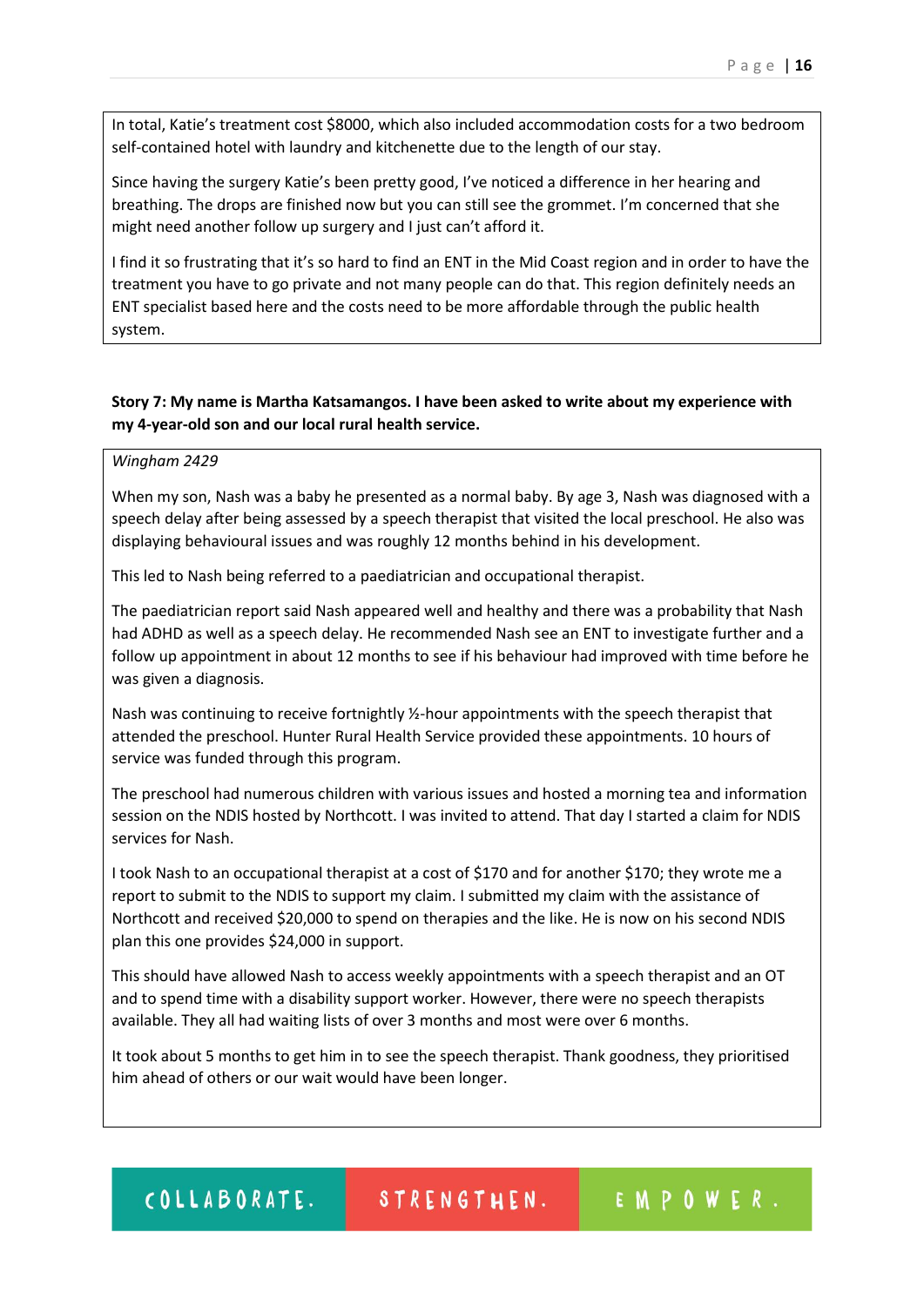In total, Katie's treatment cost \$8000, which also included accommodation costs for a two bedroom self-contained hotel with laundry and kitchenette due to the length of our stay.

Since having the surgery Katie's been pretty good, I've noticed a difference in her hearing and breathing. The drops are finished now but you can still see the grommet. I'm concerned that she might need another follow up surgery and I just can't afford it.

I find it so frustrating that it's so hard to find an ENT in the Mid Coast region and in order to have the treatment you have to go private and not many people can do that. This region definitely needs an ENT specialist based here and the costs need to be more affordable through the public health system.

# **Story 7: My name is Martha Katsamangos. I have been asked to write about my experience with my 4-year-old son and our local rural health service.**

#### *Wingham 2429*

When my son, Nash was a baby he presented as a normal baby. By age 3, Nash was diagnosed with a speech delay after being assessed by a speech therapist that visited the local preschool. He also was displaying behavioural issues and was roughly 12 months behind in his development.

This led to Nash being referred to a paediatrician and occupational therapist.

The paediatrician report said Nash appeared well and healthy and there was a probability that Nash had ADHD as well as a speech delay. He recommended Nash see an ENT to investigate further and a follow up appointment in about 12 months to see if his behaviour had improved with time before he was given a diagnosis.

Nash was continuing to receive fortnightly ½-hour appointments with the speech therapist that attended the preschool. Hunter Rural Health Service provided these appointments. 10 hours of service was funded through this program.

The preschool had numerous children with various issues and hosted a morning tea and information session on the NDIS hosted by Northcott. I was invited to attend. That day I started a claim for NDIS services for Nash.

I took Nash to an occupational therapist at a cost of \$170 and for another \$170; they wrote me a report to submit to the NDIS to support my claim. I submitted my claim with the assistance of Northcott and received \$20,000 to spend on therapies and the like. He is now on his second NDIS plan this one provides \$24,000 in support.

This should have allowed Nash to access weekly appointments with a speech therapist and an OT and to spend time with a disability support worker. However, there were no speech therapists available. They all had waiting lists of over 3 months and most were over 6 months.

It took about 5 months to get him in to see the speech therapist. Thank goodness, they prioritised him ahead of others or our wait would have been longer.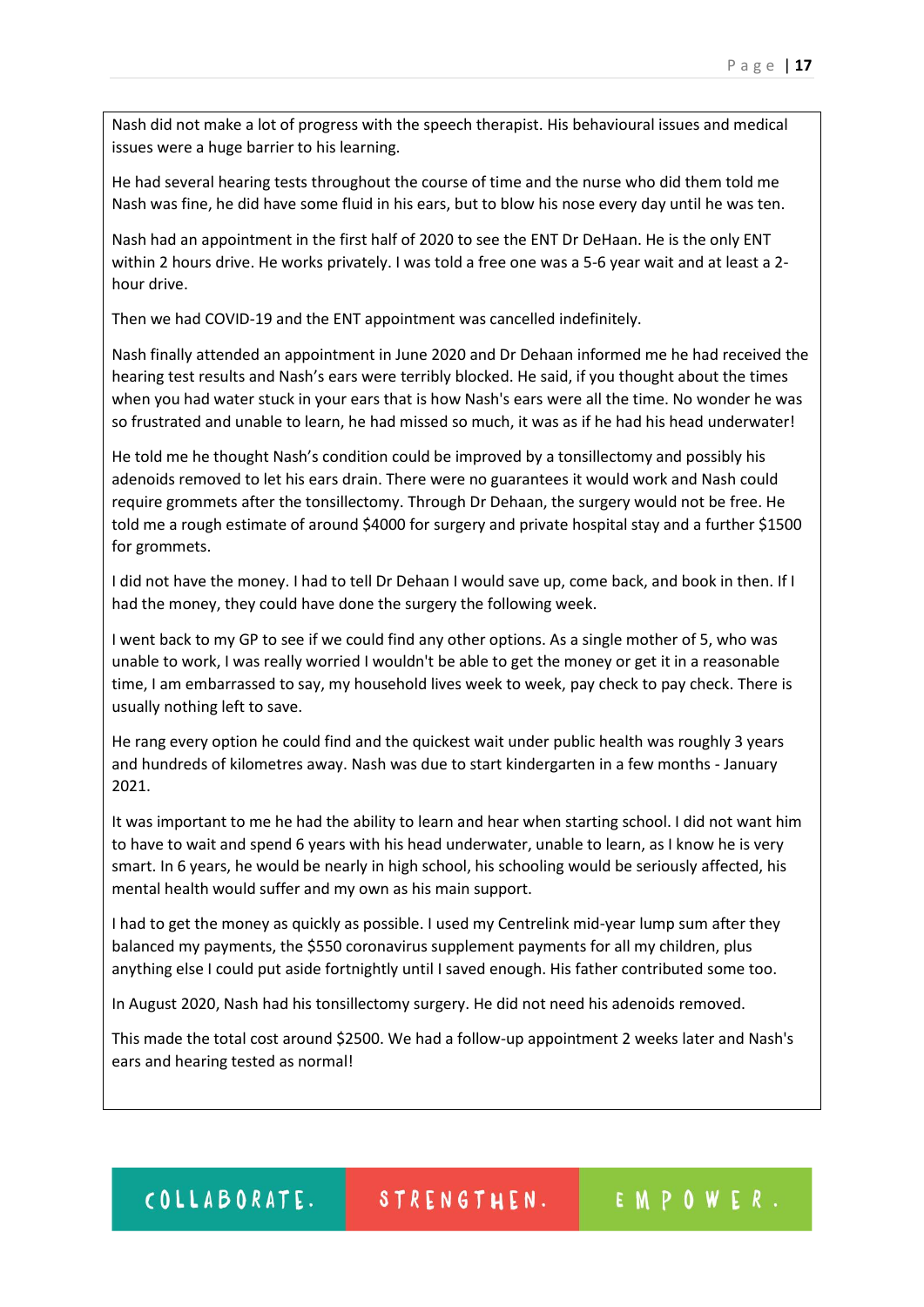Nash did not make a lot of progress with the speech therapist. His behavioural issues and medical issues were a huge barrier to his learning.

He had several hearing tests throughout the course of time and the nurse who did them told me Nash was fine, he did have some fluid in his ears, but to blow his nose every day until he was ten.

Nash had an appointment in the first half of 2020 to see the ENT Dr DeHaan. He is the only ENT within 2 hours drive. He works privately. I was told a free one was a 5-6 year wait and at least a 2 hour drive.

Then we had COVID-19 and the ENT appointment was cancelled indefinitely.

Nash finally attended an appointment in June 2020 and Dr Dehaan informed me he had received the hearing test results and Nash's ears were terribly blocked. He said, if you thought about the times when you had water stuck in your ears that is how Nash's ears were all the time. No wonder he was so frustrated and unable to learn, he had missed so much, it was as if he had his head underwater!

He told me he thought Nash's condition could be improved by a tonsillectomy and possibly his adenoids removed to let his ears drain. There were no guarantees it would work and Nash could require grommets after the tonsillectomy. Through Dr Dehaan, the surgery would not be free. He told me a rough estimate of around \$4000 for surgery and private hospital stay and a further \$1500 for grommets.

I did not have the money. I had to tell Dr Dehaan I would save up, come back, and book in then. If I had the money, they could have done the surgery the following week.

I went back to my GP to see if we could find any other options. As a single mother of 5, who was unable to work, I was really worried I wouldn't be able to get the money or get it in a reasonable time, I am embarrassed to say, my household lives week to week, pay check to pay check. There is usually nothing left to save.

He rang every option he could find and the quickest wait under public health was roughly 3 years and hundreds of kilometres away. Nash was due to start kindergarten in a few months - January 2021.

It was important to me he had the ability to learn and hear when starting school. I did not want him to have to wait and spend 6 years with his head underwater, unable to learn, as I know he is very smart. In 6 years, he would be nearly in high school, his schooling would be seriously affected, his mental health would suffer and my own as his main support.

I had to get the money as quickly as possible. I used my Centrelink mid-year lump sum after they balanced my payments, the \$550 coronavirus supplement payments for all my children, plus anything else I could put aside fortnightly until I saved enough. His father contributed some too.

In August 2020, Nash had his tonsillectomy surgery. He did not need his adenoids removed.

This made the total cost around \$2500. We had a follow-up appointment 2 weeks later and Nash's ears and hearing tested as normal!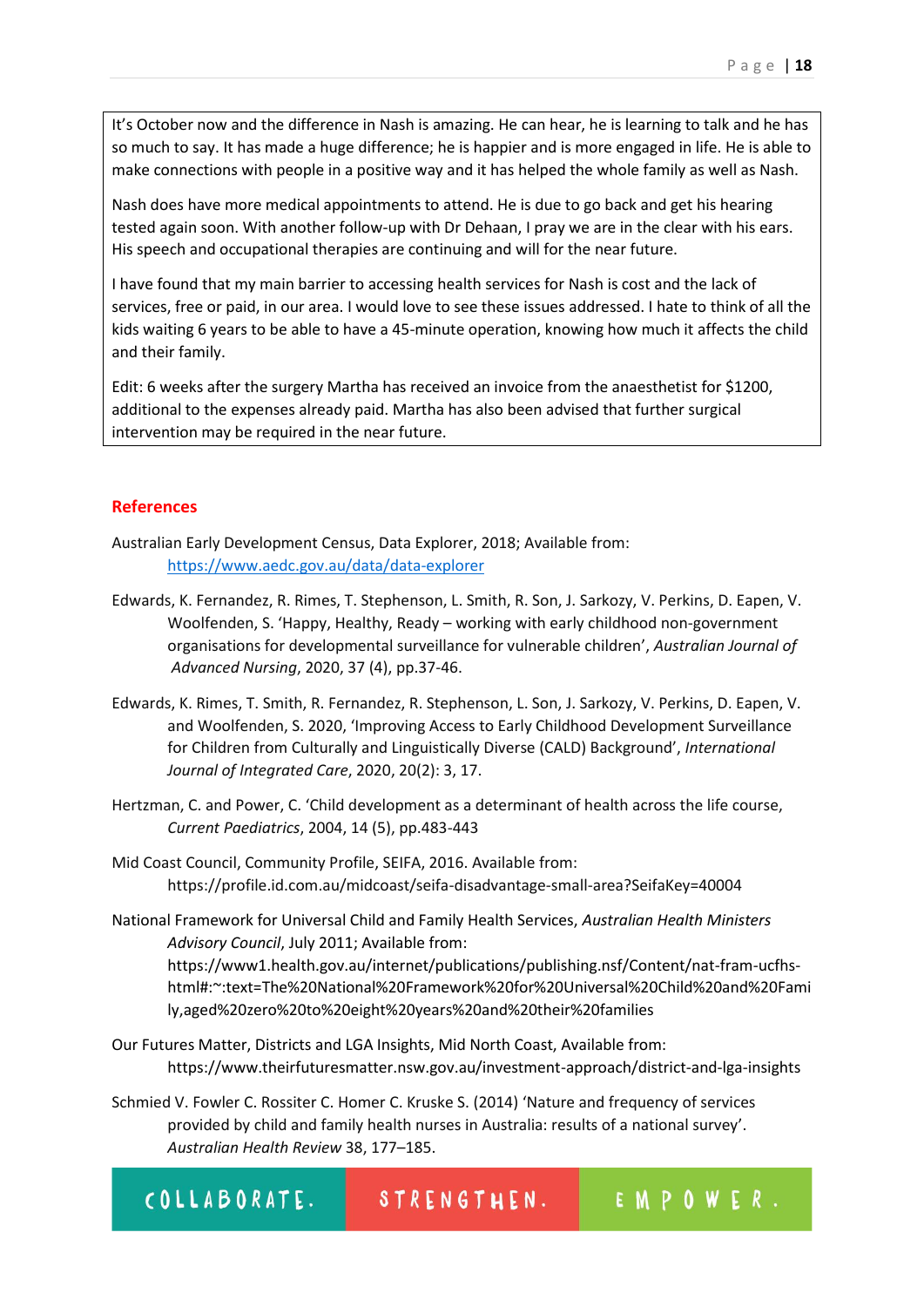It's October now and the difference in Nash is amazing. He can hear, he is learning to talk and he has so much to say. It has made a huge difference; he is happier and is more engaged in life. He is able to make connections with people in a positive way and it has helped the whole family as well as Nash.

Nash does have more medical appointments to attend. He is due to go back and get his hearing tested again soon. With another follow-up with Dr Dehaan, I pray we are in the clear with his ears. His speech and occupational therapies are continuing and will for the near future.

I have found that my main barrier to accessing health services for Nash is cost and the lack of services, free or paid, in our area. I would love to see these issues addressed. I hate to think of all the kids waiting 6 years to be able to have a 45-minute operation, knowing how much it affects the child and their family.

Edit: 6 weeks after the surgery Martha has received an invoice from the anaesthetist for \$1200, additional to the expenses already paid. Martha has also been advised that further surgical intervention may be required in the near future.

# **References**

- Australian Early Development Census, Data Explorer, 2018; Available from: <https://www.aedc.gov.au/data/data-explorer>
- Edwards, K. Fernandez, R. Rimes, T. Stephenson, L. Smith, R. Son, J. Sarkozy, V. Perkins, D. Eapen, V. Woolfenden, S. 'Happy, Healthy, Ready – working with early childhood non-government organisations for developmental surveillance for vulnerable children', *Australian Journal of Advanced Nursing*, 2020, 37 (4), pp.37-46.
- Edwards, K. Rimes, T. Smith, R. Fernandez, R. Stephenson, L. Son, J. Sarkozy, V. Perkins, D. Eapen, V. and Woolfenden, S. 2020, 'Improving Access to Early Childhood Development Surveillance for Children from Culturally and Linguistically Diverse (CALD) Background', *International Journal of Integrated Care*, 2020, 20(2): 3, 17.
- Hertzman, C. and Power, C. 'Child development as a determinant of health across the life course, *Current Paediatrics*, 2004, 14 (5), pp.483-443
- Mid Coast Council, Community Profile, SEIFA, 2016. Available from: https://profile.id.com.au/midcoast/seifa-disadvantage-small-area?SeifaKey=40004

National Framework for Universal Child and Family Health Services, *Australian Health Ministers Advisory Council*, July 2011; Available from: https://www1.health.gov.au/internet/publications/publishing.nsf/Content/nat-fram-ucfhshtml#:~:text=The%20National%20Framework%20for%20Universal%20Child%20and%20Fami ly,aged%20zero%20to%20eight%20years%20and%20their%20families

- Our Futures Matter, Districts and LGA Insights, Mid North Coast, Available from: https://www.theirfuturesmatter.nsw.gov.au/investment-approach/district-and-lga-insights
- Schmied V. Fowler C. Rossiter C. Homer C. Kruske S. (2014) 'Nature and frequency of services provided by child and family health nurses in Australia: results of a national survey'. *Australian Health Review* 38, 177–185.

| COLLABORATE. | STRENGTHEN. | EMPOWER |
|--------------|-------------|---------|
|--------------|-------------|---------|